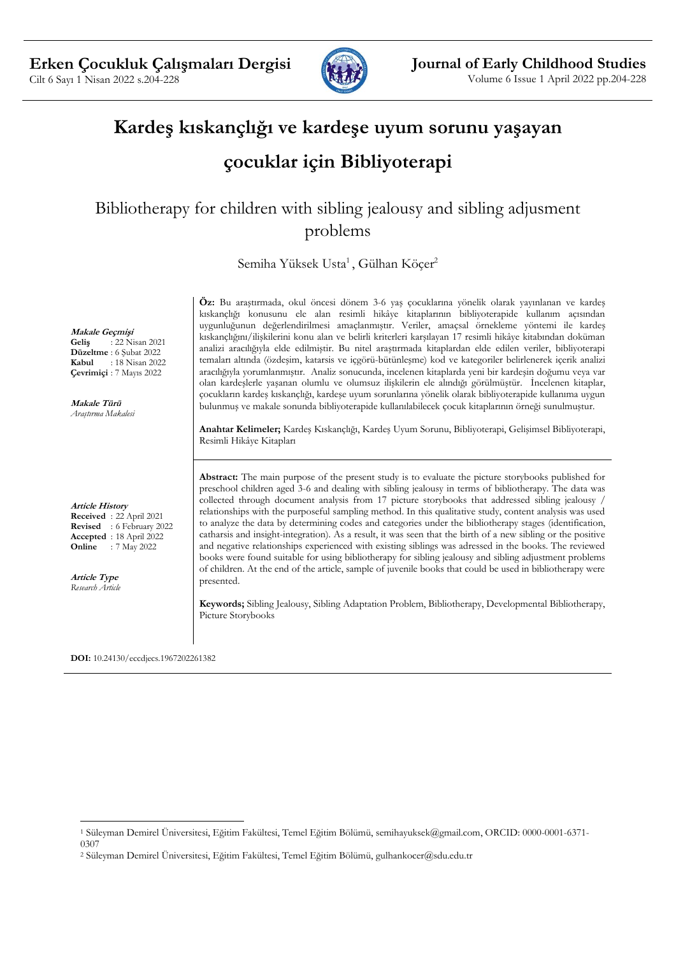

# **Kardeş kıskançlığı ve kardeşe uyum sorunu yaşayan**

## **çocuklar için Bibliyoterapi**

Bibliotherapy for children with sibling jealousy and sibling adjusment problems

Semiha Yüksek Usta<sup>1</sup>, Gülhan Köçer<sup>2</sup>

**Makale Geçmişi Geliş** : 22 Nisan 2021 **Düzeltme** : 6 Şubat 2022 **Kabul** : 18 Nisan 2022 **Çevrimiçi** : 7 Mayıs 2022

**Makale Türü** *Araştırma Makalesi*

**Article History Received** : 22 April 2021 **Revised** : 6 February 2022 **Accepted** : 18 April 2022 **Online** : 7 May 2022

**Article Type** *Research Article* **Öz:** Bu araştırmada, okul öncesi dönem 3-6 yaş çocuklarına yönelik olarak yayınlanan ve kardeş kıskançlığı konusunu ele alan resimli hikâye kitaplarının bibliyoterapide kullanım açısından uygunluğunun değerlendirilmesi amaçlanmıştır. Veriler, amaçsal örnekleme yöntemi ile kardeş kıskançlığını/ilişkilerini konu alan ve belirli kriterleri karşılayan 17 resimli hikâye kitabından doküman analizi aracılığıyla elde edilmiştir. Bu nitel araştırmada kitaplardan elde edilen veriler, bibliyoterapi temaları altında (özdeşim, katarsis ve içgörü-bütünleşme) kod ve kategoriler belirlenerek içerik analizi aracılığıyla yorumlanmıştır. Analiz sonucunda, incelenen kitaplarda yeni bir kardeşin doğumu veya var olan kardeşlerle yaşanan olumlu ve olumsuz ilişkilerin ele alındığı görülmüştür. İncelenen kitaplar, çocukların kardeş kıskançlığı, kardeşe uyum sorunlarına yönelik olarak bibliyoterapide kullanıma uygun bulunmuş ve makale sonunda bibliyoterapide kullanılabilecek çocuk kitaplarının örneği sunulmuştur.

**Anahtar Kelimeler;** Kardeş Kıskançlığı, Kardeş Uyum Sorunu, Bibliyoterapi, Gelişimsel Bibliyoterapi, Resimli Hikâye Kitapları

**Abstract:** The main purpose of the present study is to evaluate the picture storybooks published for preschool children aged 3-6 and dealing with sibling jealousy in terms of bibliotherapy. The data was collected through document analysis from 17 picture storybooks that addressed sibling jealousy / relationships with the purposeful sampling method. In this qualitative study, content analysis was used to analyze the data by determining codes and categories under the bibliotherapy stages (identification, catharsis and insight-integration). As a result, it was seen that the birth of a new sibling or the positive and negative relationships experienced with existing siblings was adressed in the books. The reviewed books were found suitable for using bibliotherapy for sibling jealousy and sibling adjustment problems of children. At the end of the article, sample of juvenile books that could be used in bibliotherapy were presented.

**Keywords;** Sibling Jealousy, Sibling Adaptation Problem, Bibliotherapy, Developmental Bibliotherapy, Picture Storybooks

**DOI:** 10.24130/eccdjecs.1967202261382

<sup>1</sup> Süleyman Demirel Üniversitesi, Eğitim Fakültesi, Temel Eğitim Bölümü, semihayuksek@gmail.com, ORCID: 0000-0001-6371- 0307

<sup>2</sup> Süleyman Demirel Üniversitesi, Eğitim Fakültesi, Temel Eğitim Bölümü, gulhankocer@sdu.edu.tr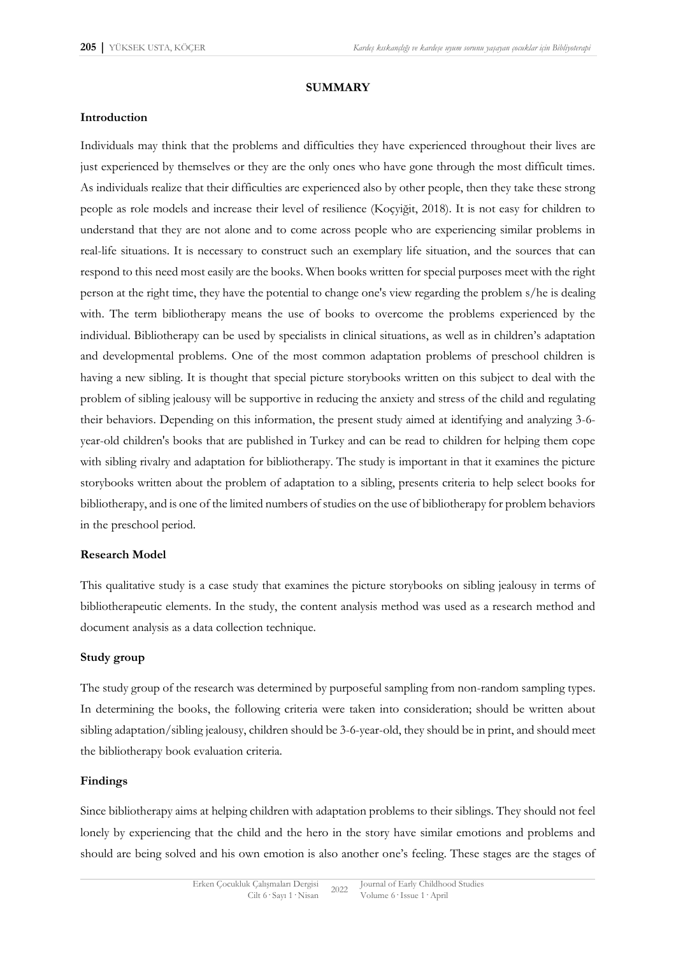#### **SUMMARY**

#### **Introduction**

Individuals may think that the problems and difficulties they have experienced throughout their lives are just experienced by themselves or they are the only ones who have gone through the most difficult times. As individuals realize that their difficulties are experienced also by other people, then they take these strong people as role models and increase their level of resilience (Koçyiğit, 2018). It is not easy for children to understand that they are not alone and to come across people who are experiencing similar problems in real-life situations. It is necessary to construct such an exemplary life situation, and the sources that can respond to this need most easily are the books. When books written for special purposes meet with the right person at the right time, they have the potential to change one's view regarding the problem s/he is dealing with. The term bibliotherapy means the use of books to overcome the problems experienced by the individual. Bibliotherapy can be used by specialists in clinical situations, as well as in children's adaptation and developmental problems. One of the most common adaptation problems of preschool children is having a new sibling. It is thought that special picture storybooks written on this subject to deal with the problem of sibling jealousy will be supportive in reducing the anxiety and stress of the child and regulating their behaviors. Depending on this information, the present study aimed at identifying and analyzing 3-6 year-old children's books that are published in Turkey and can be read to children for helping them cope with sibling rivalry and adaptation for bibliotherapy. The study is important in that it examines the picture storybooks written about the problem of adaptation to a sibling, presents criteria to help select books for bibliotherapy, and is one of the limited numbers of studies on the use of bibliotherapy for problem behaviors in the preschool period.

#### **Research Model**

This qualitative study is a case study that examines the picture storybooks on sibling jealousy in terms of bibliotherapeutic elements. In the study, the content analysis method was used as a research method and document analysis as a data collection technique.

#### **Study group**

The study group of the research was determined by purposeful sampling from non-random sampling types. In determining the books, the following criteria were taken into consideration; should be written about sibling adaptation/sibling jealousy, children should be 3-6-year-old, they should be in print, and should meet the bibliotherapy book evaluation criteria.

#### **Findings**

Since bibliotherapy aims at helping children with adaptation problems to their siblings. They should not feel lonely by experiencing that the child and the hero in the story have similar emotions and problems and should are being solved and his own emotion is also another one's feeling. These stages are the stages of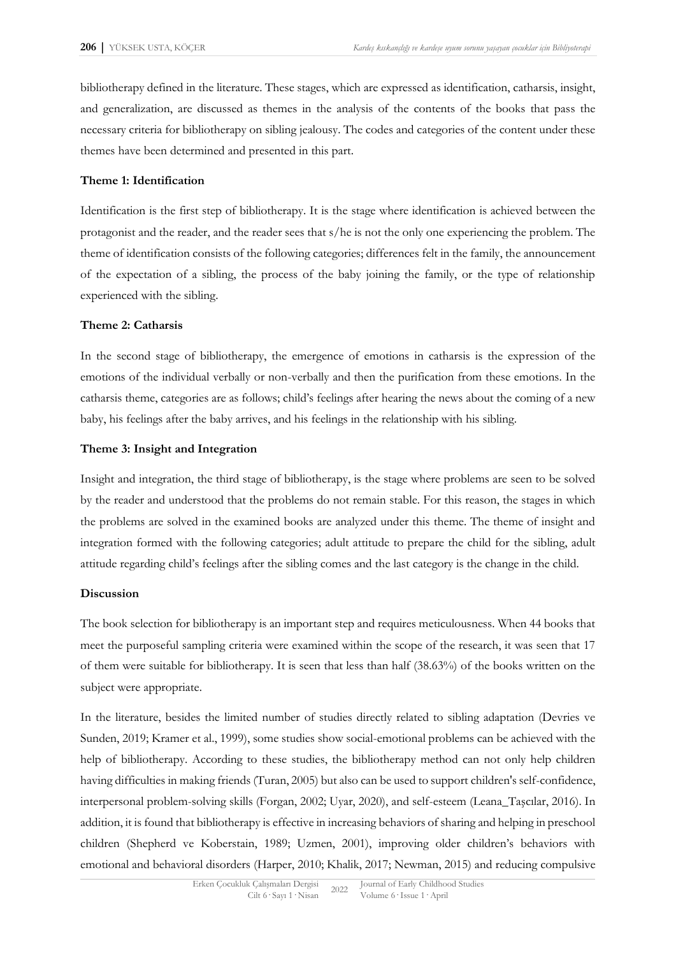bibliotherapy defined in the literature. These stages, which are expressed as identification, catharsis, insight, and generalization, are discussed as themes in the analysis of the contents of the books that pass the necessary criteria for bibliotherapy on sibling jealousy. The codes and categories of the content under these themes have been determined and presented in this part.

#### **Theme 1: Identification**

Identification is the first step of bibliotherapy. It is the stage where identification is achieved between the protagonist and the reader, and the reader sees that s/he is not the only one experiencing the problem. The theme of identification consists of the following categories; differences felt in the family, the announcement of the expectation of a sibling, the process of the baby joining the family, or the type of relationship experienced with the sibling.

#### **Theme 2: Catharsis**

In the second stage of bibliotherapy, the emergence of emotions in catharsis is the expression of the emotions of the individual verbally or non-verbally and then the purification from these emotions. In the catharsis theme, categories are as follows; child's feelings after hearing the news about the coming of a new baby, his feelings after the baby arrives, and his feelings in the relationship with his sibling.

#### **Theme 3: Insight and Integration**

Insight and integration, the third stage of bibliotherapy, is the stage where problems are seen to be solved by the reader and understood that the problems do not remain stable. For this reason, the stages in which the problems are solved in the examined books are analyzed under this theme. The theme of insight and integration formed with the following categories; adult attitude to prepare the child for the sibling, adult attitude regarding child's feelings after the sibling comes and the last category is the change in the child.

#### **Discussion**

The book selection for bibliotherapy is an important step and requires meticulousness. When 44 books that meet the purposeful sampling criteria were examined within the scope of the research, it was seen that 17 of them were suitable for bibliotherapy. It is seen that less than half (38.63%) of the books written on the subject were appropriate.

In the literature, besides the limited number of studies directly related to sibling adaptation (Devries ve Sunden, 2019; Kramer et al., 1999), some studies show social-emotional problems can be achieved with the help of bibliotherapy. According to these studies, the bibliotherapy method can not only help children having difficulties in making friends (Turan, 2005) but also can be used to support children's self-confidence, interpersonal problem-solving skills (Forgan, 2002; Uyar, 2020), and self-esteem (Leana\_Taşcılar, 2016). In addition, it is found that bibliotherapy is effective in increasing behaviors of sharing and helping in preschool children (Shepherd ve Koberstain, 1989; Uzmen, 2001), improving older children's behaviors with emotional and behavioral disorders (Harper, 2010; Khalik, 2017; Newman, 2015) and reducing compulsive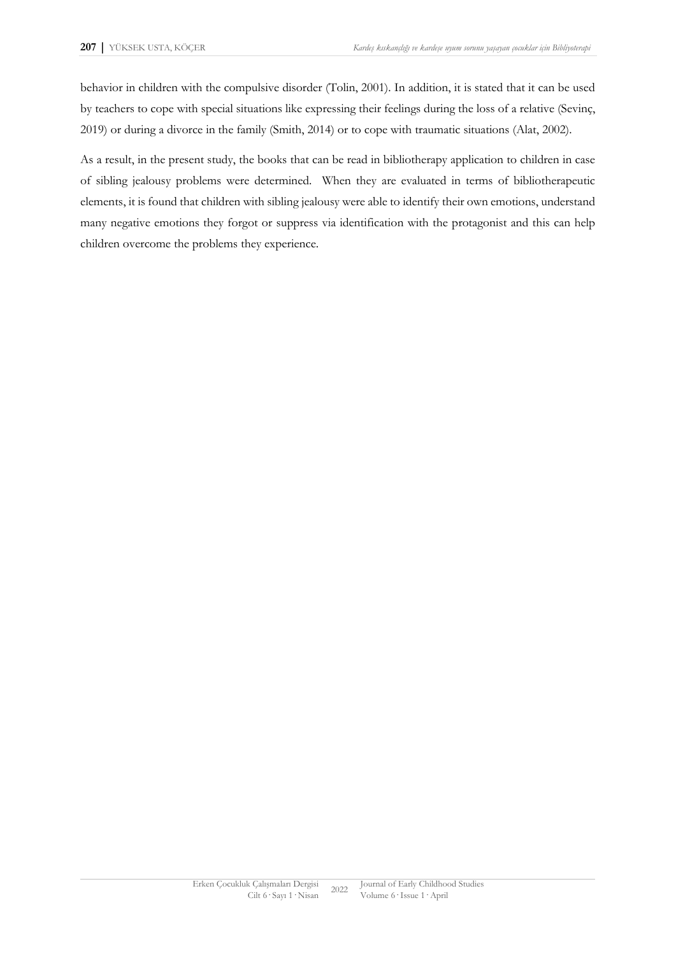behavior in children with the compulsive disorder (Tolin, 2001). In addition, it is stated that it can be used by teachers to cope with special situations like expressing their feelings during the loss of a relative (Sevinç, 2019) or during a divorce in the family (Smith, 2014) or to cope with traumatic situations (Alat, 2002).

As a result, in the present study, the books that can be read in bibliotherapy application to children in case of sibling jealousy problems were determined. When they are evaluated in terms of bibliotherapeutic elements, it is found that children with sibling jealousy were able to identify their own emotions, understand many negative emotions they forgot or suppress via identification with the protagonist and this can help children overcome the problems they experience.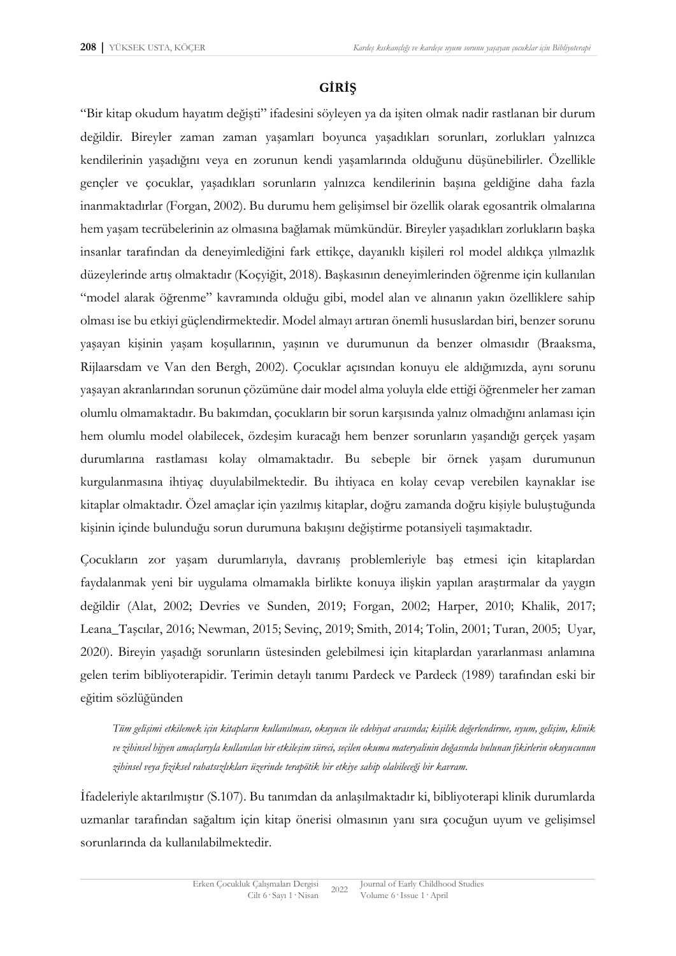### **GİRİŞ**

"Bir kitap okudum hayatım değişti" ifadesini söyleyen ya da işiten olmak nadir rastlanan bir durum değildir. Bireyler zaman zaman yaşamları boyunca yaşadıkları sorunları, zorlukları yalnızca kendilerinin yaşadığını veya en zorunun kendi yaşamlarında olduğunu düşünebilirler. Özellikle gençler ve çocuklar, yaşadıkları sorunların yalnızca kendilerinin başına geldiğine daha fazla inanmaktadırlar (Forgan, 2002). Bu durumu hem gelişimsel bir özellik olarak egosantrik olmalarına hem yaşam tecrübelerinin az olmasına bağlamak mümkündür. Bireyler yaşadıkları zorlukların başka insanlar tarafından da deneyimlediğini fark ettikçe, dayanıklı kişileri rol model aldıkça yılmazlık düzeylerinde artış olmaktadır (Koçyiğit, 2018). Başkasının deneyimlerinden öğrenme için kullanılan "model alarak öğrenme" kavramında olduğu gibi, model alan ve alınanın yakın özelliklere sahip olması ise bu etkiyi güçlendirmektedir. Model almayı artıran önemli hususlardan biri, benzer sorunu yaşayan kişinin yaşam koşullarının, yaşının ve durumunun da benzer olmasıdır (Braaksma, Rijlaarsdam ve Van den Bergh, 2002). Çocuklar açısından konuyu ele aldığımızda, aynı sorunu yaşayan akranlarından sorunun çözümüne dair model alma yoluyla elde ettiği öğrenmeler her zaman olumlu olmamaktadır. Bu bakımdan, çocukların bir sorun karşısında yalnız olmadığını anlaması için hem olumlu model olabilecek, özdeşim kuracağı hem benzer sorunların yaşandığı gerçek yaşam durumlarına rastlaması kolay olmamaktadır. Bu sebeple bir örnek yaşam durumunun kurgulanmasına ihtiyaç duyulabilmektedir. Bu ihtiyaca en kolay cevap verebilen kaynaklar ise kitaplar olmaktadır. Özel amaçlar için yazılmış kitaplar, doğru zamanda doğru kişiyle buluştuğunda kişinin içinde bulunduğu sorun durumuna bakışını değiştirme potansiyeli taşımaktadır.

Çocukların zor yaşam durumlarıyla, davranış problemleriyle baş etmesi için kitaplardan faydalanmak yeni bir uygulama olmamakla birlikte konuya ilişkin yapılan araştırmalar da yaygın değildir (Alat, 2002; Devries ve Sunden, 2019; Forgan, 2002; Harper, 2010; Khalik, 2017; Leana\_Taşcılar, 2016; Newman, 2015; Sevinç, 2019; Smith, 2014; Tolin, 2001; Turan, 2005; Uyar, 2020). Bireyin yaşadığı sorunların üstesinden gelebilmesi için kitaplardan yararlanması anlamına gelen terim bibliyoterapidir. Terimin detaylı tanımı Pardeck ve Pardeck (1989) tarafından eski bir eğitim sözlüğünden

*Tüm gelişimi etkilemek için kitapların kullanılması, okuyucu ile edebiyat arasında; kişilik değerlendirme, uyum, gelişim, klinik ve zihinsel hijyen amaçlarıyla kullanılan bir etkileşim süreci, seçilen okuma materyalinin doğasında bulunan fikirlerin okuyucunun zihinsel veya fiziksel rahatsızlıkları üzerinde terapötik bir etkiye sahip olabileceği bir kavram.*

İfadeleriyle aktarılmıştır (S.107). Bu tanımdan da anlaşılmaktadır ki, bibliyoterapi klinik durumlarda uzmanlar tarafından sağaltım için kitap önerisi olmasının yanı sıra çocuğun uyum ve gelişimsel sorunlarında da kullanılabilmektedir.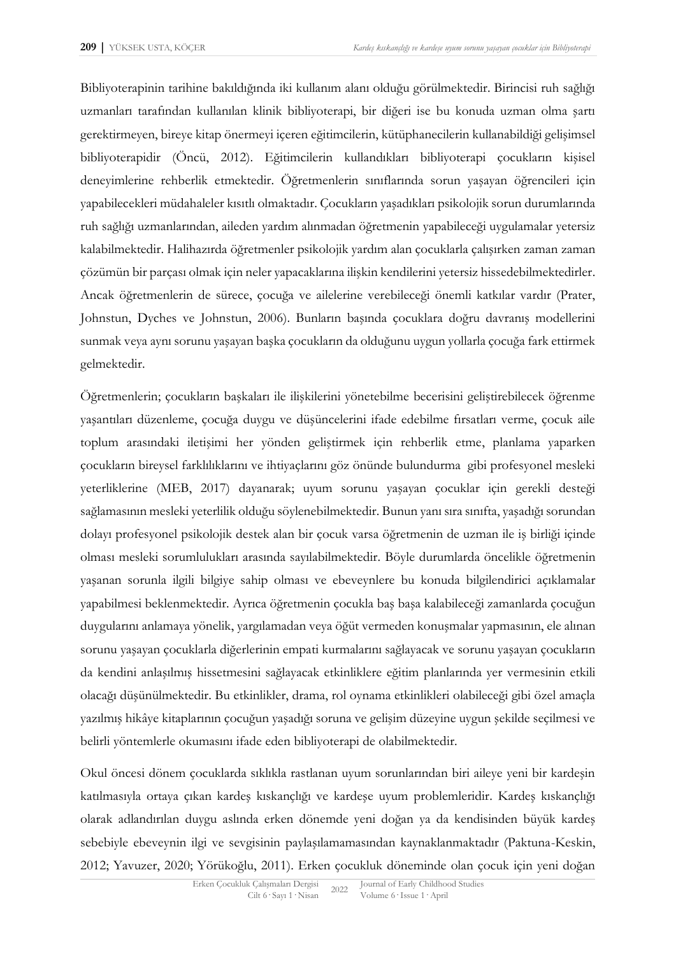Bibliyoterapinin tarihine bakıldığında iki kullanım alanı olduğu görülmektedir. Birincisi ruh sağlığı uzmanları tarafından kullanılan klinik bibliyoterapi, bir diğeri ise bu konuda uzman olma şartı gerektirmeyen, bireye kitap önermeyi içeren eğitimcilerin, kütüphanecilerin kullanabildiği gelişimsel bibliyoterapidir (Öncü, 2012). Eğitimcilerin kullandıkları bibliyoterapi çocukların kişisel deneyimlerine rehberlik etmektedir. Öğretmenlerin sınıflarında sorun yaşayan öğrencileri için yapabilecekleri müdahaleler kısıtlı olmaktadır. Çocukların yaşadıkları psikolojik sorun durumlarında ruh sağlığı uzmanlarından, aileden yardım alınmadan öğretmenin yapabileceği uygulamalar yetersiz kalabilmektedir. Halihazırda öğretmenler psikolojik yardım alan çocuklarla çalışırken zaman zaman çözümün bir parçası olmak için neler yapacaklarına ilişkin kendilerini yetersiz hissedebilmektedirler. Ancak öğretmenlerin de sürece, çocuğa ve ailelerine verebileceği önemli katkılar vardır (Prater, Johnstun, Dyches ve Johnstun, 2006). Bunların başında çocuklara doğru davranış modellerini sunmak veya aynı sorunu yaşayan başka çocukların da olduğunu uygun yollarla çocuğa fark ettirmek gelmektedir.

Öğretmenlerin; çocukların başkaları ile ilişkilerini yönetebilme becerisini geliştirebilecek öğrenme yaşantıları düzenleme, çocuğa duygu ve düşüncelerini ifade edebilme fırsatları verme, çocuk aile toplum arasındaki iletişimi her yönden geliştirmek için rehberlik etme, planlama yaparken çocukların bireysel farklılıklarını ve ihtiyaçlarını göz önünde bulundurma gibi profesyonel mesleki yeterliklerine (MEB, 2017) dayanarak; uyum sorunu yaşayan çocuklar için gerekli desteği sağlamasının mesleki yeterlilik olduğu söylenebilmektedir. Bunun yanı sıra sınıfta, yaşadığı sorundan dolayı profesyonel psikolojik destek alan bir çocuk varsa öğretmenin de uzman ile iş birliği içinde olması mesleki sorumlulukları arasında sayılabilmektedir. Böyle durumlarda öncelikle öğretmenin yaşanan sorunla ilgili bilgiye sahip olması ve ebeveynlere bu konuda bilgilendirici açıklamalar yapabilmesi beklenmektedir. Ayrıca öğretmenin çocukla baş başa kalabileceği zamanlarda çocuğun duygularını anlamaya yönelik, yargılamadan veya öğüt vermeden konuşmalar yapmasının, ele alınan sorunu yaşayan çocuklarla diğerlerinin empati kurmalarını sağlayacak ve sorunu yaşayan çocukların da kendini anlaşılmış hissetmesini sağlayacak etkinliklere eğitim planlarında yer vermesinin etkili olacağı düşünülmektedir. Bu etkinlikler, drama, rol oynama etkinlikleri olabileceği gibi özel amaçla yazılmış hikâye kitaplarının çocuğun yaşadığı soruna ve gelişim düzeyine uygun şekilde seçilmesi ve belirli yöntemlerle okumasını ifade eden bibliyoterapi de olabilmektedir.

Okul öncesi dönem çocuklarda sıklıkla rastlanan uyum sorunlarından biri aileye yeni bir kardeşin katılmasıyla ortaya çıkan kardeş kıskançlığı ve kardeşe uyum problemleridir. Kardeş kıskançlığı olarak adlandırılan duygu aslında erken dönemde yeni doğan ya da kendisinden büyük kardeş sebebiyle ebeveynin ilgi ve sevgisinin paylaşılamamasından kaynaklanmaktadır (Paktuna-Keskin, 2012; Yavuzer, 2020; Yörükoğlu, 2011). Erken çocukluk döneminde olan çocuk için yeni doğan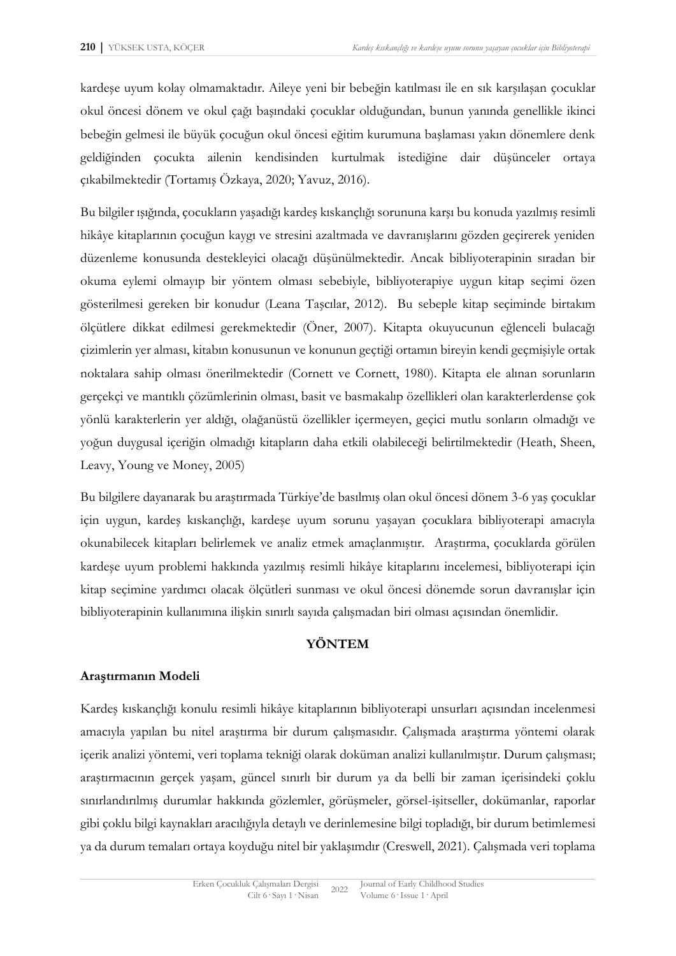kardeşe uyum kolay olmamaktadır. Aileye yeni bir bebeğin katılması ile en sık karşılaşan çocuklar okul öncesi dönem ve okul çağı başındaki çocuklar olduğundan, bunun yanında genellikle ikinci bebeğin gelmesi ile büyük çocuğun okul öncesi eğitim kurumuna başlaması yakın dönemlere denk geldiğinden çocukta ailenin kendisinden kurtulmak istediğine dair düşünceler ortaya çıkabilmektedir (Tortamış Özkaya, 2020; Yavuz, 2016).

Bu bilgiler ışığında, çocukların yaşadığı kardeş kıskançlığı sorununa karşı bu konuda yazılmış resimli hikâye kitaplarının çocuğun kaygı ve stresini azaltmada ve davranışlarını gözden geçirerek yeniden düzenleme konusunda destekleyici olacağı düşünülmektedir. Ancak bibliyoterapinin sıradan bir okuma eylemi olmayıp bir yöntem olması sebebiyle, bibliyoterapiye uygun kitap seçimi özen gösterilmesi gereken bir konudur (Leana Taşcılar, 2012). Bu sebeple kitap seçiminde birtakım ölçütlere dikkat edilmesi gerekmektedir (Öner, 2007). Kitapta okuyucunun eğlenceli bulacağı çizimlerin yer alması, kitabın konusunun ve konunun geçtiği ortamın bireyin kendi geçmişiyle ortak noktalara sahip olması önerilmektedir (Cornett ve Cornett, 1980). Kitapta ele alınan sorunların gerçekçi ve mantıklı çözümlerinin olması, basit ve basmakalıp özellikleri olan karakterlerdense çok yönlü karakterlerin yer aldığı, olağanüstü özellikler içermeyen, geçici mutlu sonların olmadığı ve yoğun duygusal içeriğin olmadığı kitapların daha etkili olabileceği belirtilmektedir (Heath, Sheen, Leavy, Young ve Money, 2005)

Bu bilgilere dayanarak bu araştırmada Türkiye'de basılmış olan okul öncesi dönem 3-6 yaş çocuklar için uygun, kardeş kıskançlığı, kardeşe uyum sorunu yaşayan çocuklara bibliyoterapi amacıyla okunabilecek kitapları belirlemek ve analiz etmek amaçlanmıştır. Araştırma, çocuklarda görülen kardeşe uyum problemi hakkında yazılmış resimli hikâye kitaplarını incelemesi, bibliyoterapi için kitap seçimine yardımcı olacak ölçütleri sunması ve okul öncesi dönemde sorun davranışlar için bibliyoterapinin kullanımına ilişkin sınırlı sayıda çalışmadan biri olması açısından önemlidir.

#### **YÖNTEM**

## **Araştırmanın Modeli**

Kardeş kıskançlığı konulu resimli hikâye kitaplarının bibliyoterapi unsurları açısından incelenmesi amacıyla yapılan bu nitel araştırma bir durum çalışmasıdır. Çalışmada araştırma yöntemi olarak içerik analizi yöntemi, veri toplama tekniği olarak doküman analizi kullanılmıştır. Durum çalışması; araştırmacının gerçek yaşam, güncel sınırlı bir durum ya da belli bir zaman içerisindeki çoklu sınırlandırılmış durumlar hakkında gözlemler, görüşmeler, görsel-işitseller, dokümanlar, raporlar gibi çoklu bilgi kaynakları aracılığıyla detaylı ve derinlemesine bilgi topladığı, bir durum betimlemesi ya da durum temaları ortaya koyduğu nitel bir yaklaşımdır (Creswell, 2021). Çalışmada veri toplama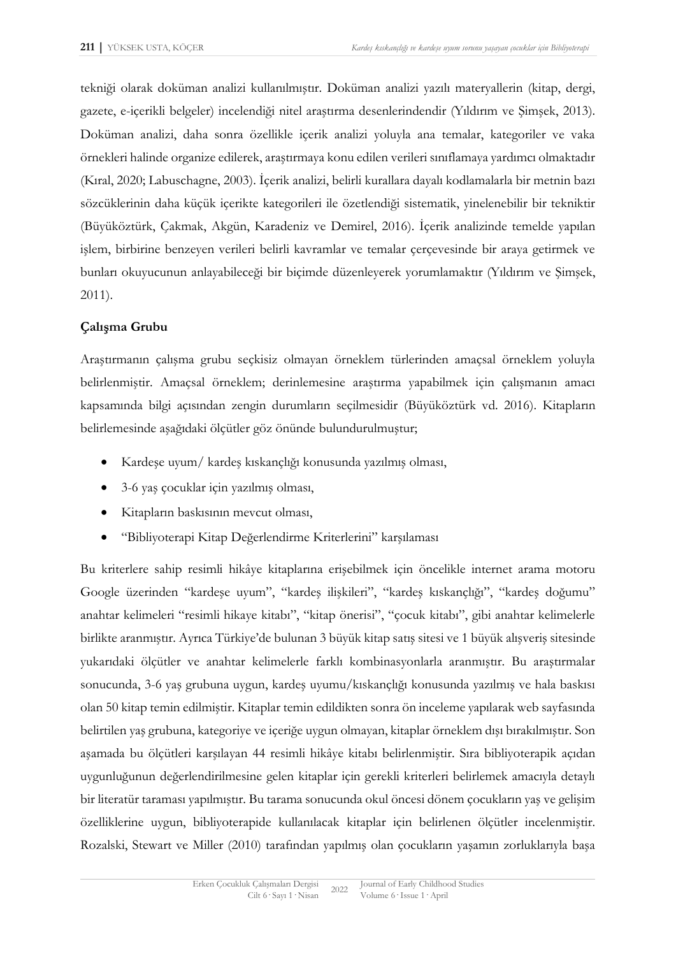tekniği olarak doküman analizi kullanılmıştır. Doküman analizi yazılı materyallerin (kitap, dergi, gazete, e-içerikli belgeler) incelendiği nitel araştırma desenlerindendir (Yıldırım ve Şimşek, 2013). Doküman analizi, daha sonra özellikle içerik analizi yoluyla ana temalar, kategoriler ve vaka örnekleri halinde organize edilerek, araştırmaya konu edilen verileri sınıflamaya yardımcı olmaktadır (Kıral, 2020; Labuschagne, 2003). İçerik analizi, belirli kurallara dayalı kodlamalarla bir metnin bazı sözcüklerinin daha küçük içerikte kategorileri ile özetlendiği sistematik, yinelenebilir bir tekniktir (Büyüköztürk, Çakmak, Akgün, Karadeniz ve Demirel, 2016). İçerik analizinde temelde yapılan işlem, birbirine benzeyen verileri belirli kavramlar ve temalar çerçevesinde bir araya getirmek ve bunları okuyucunun anlayabileceği bir biçimde düzenleyerek yorumlamaktır (Yıldırım ve Şimşek, 2011).

## **Çalışma Grubu**

Araştırmanın çalışma grubu seçkisiz olmayan örneklem türlerinden amaçsal örneklem yoluyla belirlenmiştir. Amaçsal örneklem; derinlemesine araştırma yapabilmek için çalışmanın amacı kapsamında bilgi açısından zengin durumların seçilmesidir (Büyüköztürk vd. 2016). Kitapların belirlemesinde aşağıdaki ölçütler göz önünde bulundurulmuştur;

- Kardeşe uyum/ kardeş kıskançlığı konusunda yazılmış olması,
- 3-6 yaş çocuklar için yazılmış olması,
- Kitapların baskısının mevcut olması,
- "Bibliyoterapi Kitap Değerlendirme Kriterlerini" karşılaması

Bu kriterlere sahip resimli hikâye kitaplarına erişebilmek için öncelikle internet arama motoru Google üzerinden "kardeşe uyum", "kardeş ilişkileri", "kardeş kıskançlığı", "kardeş doğumu" anahtar kelimeleri "resimli hikaye kitabı", "kitap önerisi", "çocuk kitabı", gibi anahtar kelimelerle birlikte aranmıştır. Ayrıca Türkiye'de bulunan 3 büyük kitap satış sitesi ve 1 büyük alışveriş sitesinde yukarıdaki ölçütler ve anahtar kelimelerle farklı kombinasyonlarla aranmıştır. Bu araştırmalar sonucunda, 3-6 yaş grubuna uygun, kardeş uyumu/kıskançlığı konusunda yazılmış ve hala baskısı olan 50 kitap temin edilmiştir. Kitaplar temin edildikten sonra ön inceleme yapılarak web sayfasında belirtilen yaş grubuna, kategoriye ve içeriğe uygun olmayan, kitaplar örneklem dışı bırakılmıştır. Son aşamada bu ölçütleri karşılayan 44 resimli hikâye kitabı belirlenmiştir. Sıra bibliyoterapik açıdan uygunluğunun değerlendirilmesine gelen kitaplar için gerekli kriterleri belirlemek amacıyla detaylı bir literatür taraması yapılmıştır. Bu tarama sonucunda okul öncesi dönem çocukların yaş ve gelişim özelliklerine uygun, bibliyoterapide kullanılacak kitaplar için belirlenen ölçütler incelenmiştir. Rozalski, Stewart ve Miller (2010) tarafından yapılmış olan çocukların yaşamın zorluklarıyla başa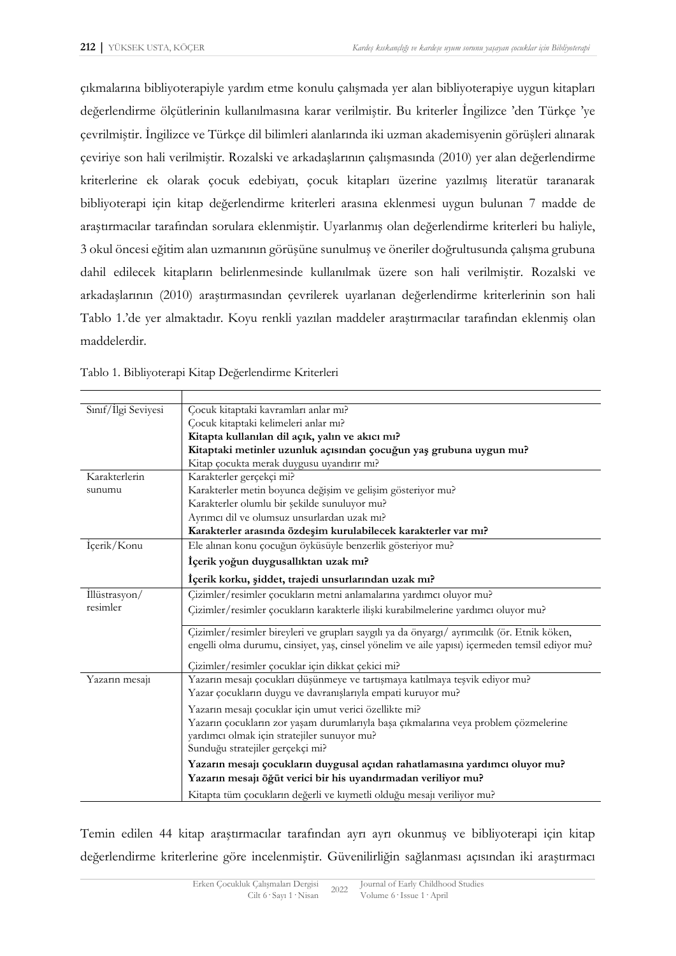çıkmalarına bibliyoterapiyle yardım etme konulu çalışmada yer alan bibliyoterapiye uygun kitapları değerlendirme ölçütlerinin kullanılmasına karar verilmiştir. Bu kriterler İngilizce 'den Türkçe 'ye çevrilmiştir. İngilizce ve Türkçe dil bilimleri alanlarında iki uzman akademisyenin görüşleri alınarak çeviriye son hali verilmiştir. Rozalski ve arkadaşlarının çalışmasında (2010) yer alan değerlendirme kriterlerine ek olarak çocuk edebiyatı, çocuk kitapları üzerine yazılmış literatür taranarak bibliyoterapi için kitap değerlendirme kriterleri arasına eklenmesi uygun bulunan 7 madde de araştırmacılar tarafından sorulara eklenmiştir. Uyarlanmış olan değerlendirme kriterleri bu haliyle, 3 okul öncesi eğitim alan uzmanının görüşüne sunulmuş ve öneriler doğrultusunda çalışma grubuna dahil edilecek kitapların belirlenmesinde kullanılmak üzere son hali verilmiştir. Rozalski ve arkadaşlarının (2010) araştırmasından çevrilerek uyarlanan değerlendirme kriterlerinin son hali Tablo 1.'de yer almaktadır. Koyu renkli yazılan maddeler araştırmacılar tarafından eklenmiş olan maddelerdir.

| Sınıf/İlgi Seviyesi                                                         | Çocuk kitaptaki kavramları anlar mı?                                                           |  |
|-----------------------------------------------------------------------------|------------------------------------------------------------------------------------------------|--|
|                                                                             | Çocuk kitaptaki kelimeleri anlar mı?                                                           |  |
|                                                                             | Kitapta kullanılan dil açık, yalın ve akıcı mı?                                                |  |
|                                                                             | Kitaptaki metinler uzunluk açısından çocuğun yaş grubuna uygun mu?                             |  |
|                                                                             | Kitap çocukta merak duygusu uyandırır mı?                                                      |  |
| Karakterlerin                                                               | Karakterler gerçekçi mi?                                                                       |  |
| sunumu                                                                      | Karakterler metin boyunca değişim ve gelişim gösteriyor mu?                                    |  |
|                                                                             | Karakterler olumlu bir şekilde sunuluyor mu?                                                   |  |
|                                                                             | Ayrımcı dil ve olumsuz unsurlardan uzak mı?                                                    |  |
|                                                                             | Karakterler arasında özdeşim kurulabilecek karakterler var mı?                                 |  |
| İçerik/Konu                                                                 | Ele alınan konu çocuğun öyküsüyle benzerlik gösteriyor mu?                                     |  |
|                                                                             | İçerik yoğun duygusallıktan uzak mı?                                                           |  |
|                                                                             | İçerik korku, şiddet, trajedi unsurlarından uzak mı?                                           |  |
| İllüstrasyon/                                                               | Çizimler/resimler çocukların metni anlamalarına yardımcı oluyor mu?                            |  |
| resimler                                                                    | Çizimler/resimler çocukların karakterle ilişki kurabilmelerine yardımcı oluyor mu?             |  |
|                                                                             | Çizimler/resimler bireyleri ve grupları saygılı ya da önyargı/ ayrımcılık (ör. Etnik köken,    |  |
|                                                                             | engelli olma durumu, cinsiyet, yaş, cinsel yönelim ve aile yapısı) içermeden temsil ediyor mu? |  |
|                                                                             | Çizimler/resimler çocuklar için dikkat çekici mi?                                              |  |
| Yazarın mesajı                                                              | Yazarın mesajı çocukları düşünmeye ve tartışmaya katılmaya teşvik ediyor mu?                   |  |
|                                                                             | Yazar çocukların duygu ve davranışlarıyla empati kuruyor mu?                                   |  |
|                                                                             | Yazarın mesajı çocuklar için umut verici özellikte mi?                                         |  |
|                                                                             | Yazarın çocukların zor yaşam durumlarıyla başa çıkmalarına veya problem çözmelerine            |  |
|                                                                             | yardımcı olmak için stratejiler sunuyor mu?                                                    |  |
|                                                                             | Sunduğu stratejiler gerçekçi mi?                                                               |  |
|                                                                             |                                                                                                |  |
| Yazarın mesajı çocukların duygusal açıdan rahatlamasına yardımcı oluyor mu? |                                                                                                |  |
|                                                                             | Yazarın mesajı öğüt verici bir his uyandırmadan veriliyor mu?                                  |  |
|                                                                             | Kitapta tüm çocukların değerli ve kıymetli olduğu mesajı veriliyor mu?                         |  |

Tablo 1. Bibliyoterapi Kitap Değerlendirme Kriterleri

Temin edilen 44 kitap araştırmacılar tarafından ayrı ayrı okunmuş ve bibliyoterapi için kitap değerlendirme kriterlerine göre incelenmiştir. Güvenilirliğin sağlanması açısından iki araştırmacı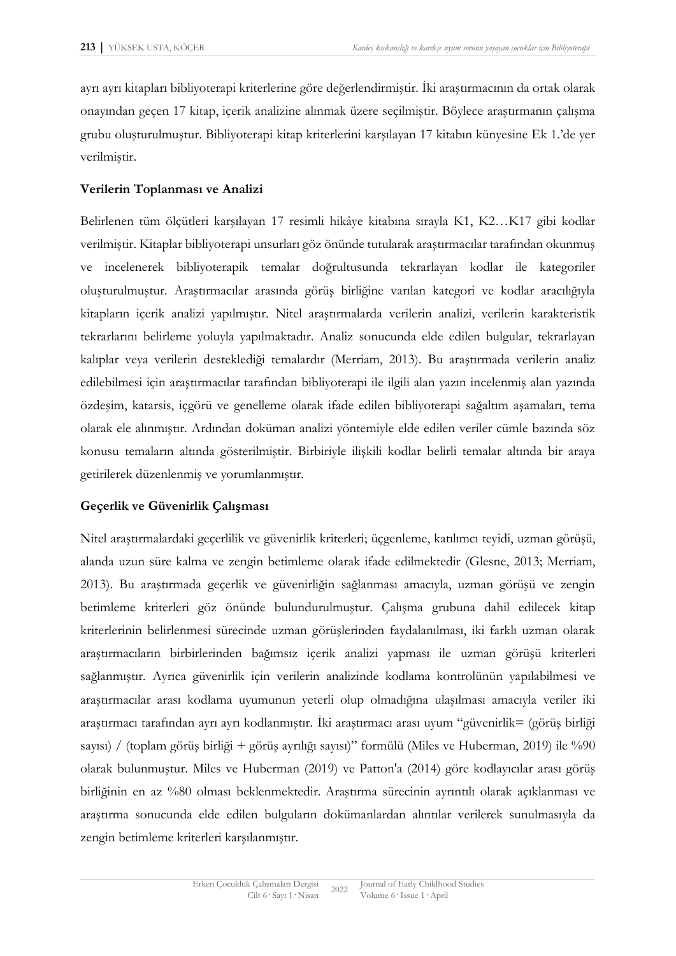ayrı ayrı kitapları bibliyoterapi kriterlerine göre değerlendirmiştir. İki araştırmacının da ortak olarak onayından geçen 17 kitap, içerik analizine alınmak üzere seçilmiştir. Böylece araştırmanın çalışma grubu oluşturulmuştur. Bibliyoterapi kitap kriterlerini karşılayan 17 kitabın künyesine Ek 1.'de yer verilmiştir.

## **Verilerin Toplanması ve Analizi**

Belirlenen tüm ölçütleri karşılayan 17 resimli hikâye kitabına sırayla K1, K2…K17 gibi kodlar verilmiştir. Kitaplar bibliyoterapi unsurları göz önünde tutularak araştırmacılar tarafından okunmuş ve incelenerek bibliyoterapik temalar doğrultusunda tekrarlayan kodlar ile kategoriler oluşturulmuştur. Araştırmacılar arasında görüş birliğine varılan kategori ve kodlar aracılığıyla kitapların içerik analizi yapılmıştır. Nitel araştırmalarda verilerin analizi, verilerin karakteristik tekrarlarını belirleme yoluyla yapılmaktadır. Analiz sonucunda elde edilen bulgular, tekrarlayan kalıplar veya verilerin desteklediği temalardır (Merriam, 2013). Bu araştırmada verilerin analiz edilebilmesi için araştırmacılar tarafından bibliyoterapi ile ilgili alan yazın incelenmiş alan yazında özdeşim, katarsis, içgörü ve genelleme olarak ifade edilen bibliyoterapi sağaltım aşamaları, tema olarak ele alınmıştır. Ardından doküman analizi yöntemiyle elde edilen veriler cümle bazında söz konusu temaların altında gösterilmiştir. Birbiriyle ilişkili kodlar belirli temalar altında bir araya getirilerek düzenlenmiş ve yorumlanmıştır.

## **Geçerlik ve Güvenirlik Çalışması**

Nitel araştırmalardaki geçerlilik ve güvenirlik kriterleri; üçgenleme, katılımcı teyidi, uzman görüşü, alanda uzun süre kalma ve zengin betimleme olarak ifade edilmektedir (Glesne, 2013; Merriam, 2013). Bu araştırmada geçerlik ve güvenirliğin sağlanması amacıyla, uzman görüşü ve zengin betimleme kriterleri göz önünde bulundurulmuştur. Çalışma grubuna dahil edilecek kitap kriterlerinin belirlenmesi sürecinde uzman görüşlerinden faydalanılması, iki farklı uzman olarak araştırmacıların birbirlerinden bağımsız içerik analizi yapması ile uzman görüşü kriterleri sağlanmıştır. Ayrıca güvenirlik için verilerin analizinde kodlama kontrolünün yapılabilmesi ve araştırmacılar arası kodlama uyumunun yeterli olup olmadığına ulaşılması amacıyla veriler iki araştırmacı tarafından ayrı ayrı kodlanmıştır. İki araştırmacı arası uyum "güvenirlik= (görüş birliği sayısı) / (toplam görüş birliği + görüş ayrılığı sayısı)" formülü (Miles ve Huberman, 2019) ile %90 olarak bulunmuştur. Miles ve Huberman (2019) ve Patton'a (2014) göre kodlayıcılar arası görüş birliğinin en az %80 olması beklenmektedir. Araştırma sürecinin ayrıntılı olarak açıklanması ve araştırma sonucunda elde edilen bulguların dokümanlardan alıntılar verilerek sunulmasıyla da zengin betimleme kriterleri karşılanmıştır.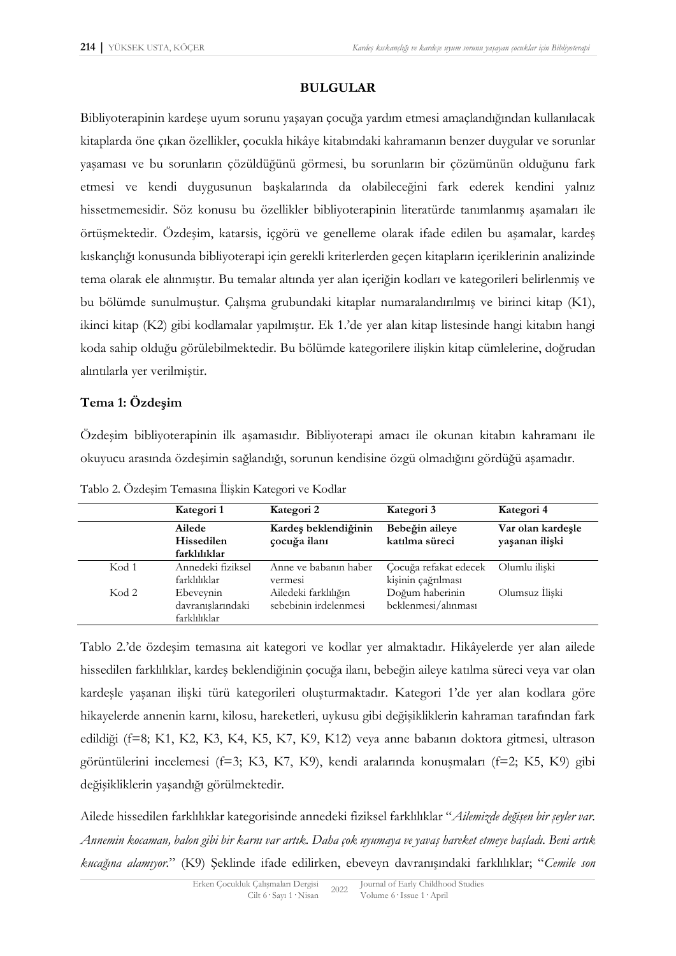## **BULGULAR**

Bibliyoterapinin kardeşe uyum sorunu yaşayan çocuğa yardım etmesi amaçlandığından kullanılacak kitaplarda öne çıkan özellikler, çocukla hikâye kitabındaki kahramanın benzer duygular ve sorunlar yaşaması ve bu sorunların çözüldüğünü görmesi, bu sorunların bir çözümünün olduğunu fark etmesi ve kendi duygusunun başkalarında da olabileceğini fark ederek kendini yalnız hissetmemesidir. Söz konusu bu özellikler bibliyoterapinin literatürde tanımlanmış aşamaları ile örtüşmektedir. Özdeşim, katarsis, içgörü ve genelleme olarak ifade edilen bu aşamalar, kardeş kıskançlığı konusunda bibliyoterapi için gerekli kriterlerden geçen kitapların içeriklerinin analizinde tema olarak ele alınmıştır. Bu temalar altında yer alan içeriğin kodları ve kategorileri belirlenmiş ve bu bölümde sunulmuştur. Çalışma grubundaki kitaplar numaralandırılmış ve birinci kitap (K1), ikinci kitap (K2) gibi kodlamalar yapılmıştır. Ek 1.'de yer alan kitap listesinde hangi kitabın hangi koda sahip olduğu görülebilmektedir. Bu bölümde kategorilere ilişkin kitap cümlelerine, doğrudan alıntılarla yer verilmiştir.

## **Tema 1: Özdeşim**

Özdeşim bibliyoterapinin ilk aşamasıdır. Bibliyoterapi amacı ile okunan kitabın kahramanı ile okuyucu arasında özdeşimin sağlandığı, sorunun kendisine özgü olmadığını gördüğü aşamadır.

|       | Kategori 1                                     | Kategori 2                                    | Kategori 3                                  | Kategori 4                          |
|-------|------------------------------------------------|-----------------------------------------------|---------------------------------------------|-------------------------------------|
|       | Ailede<br>Hissedilen<br>farklılıklar           | Kardeş beklendiğinin<br>çocuğa ilanı          | Bebeğin aileye<br>katılma süreci            | Var olan kardeşle<br>yaşanan ilişki |
| Kod 1 | Annedeki fiziksel<br>farklılıklar              | Anne ve babanın haber<br>vermes <sub>1</sub>  | Çocuğa refakat edecek<br>kişinin çağrılması | Olumlu iliski                       |
| Kod 2 | Ebeveynin<br>davranışlarındaki<br>farklılıklar | Ailedeki farklılığın<br>sebebinin irdelenmesi | Doğum haberinin<br>beklenmesi/alınması      | Olumsuz İlişki                      |

Tablo 2. Özdeşim Temasına İlişkin Kategori ve Kodlar

Tablo 2.'de özdeşim temasına ait kategori ve kodlar yer almaktadır. Hikâyelerde yer alan ailede hissedilen farklılıklar, kardeş beklendiğinin çocuğa ilanı, bebeğin aileye katılma süreci veya var olan kardeşle yaşanan ilişki türü kategorileri oluşturmaktadır. Kategori 1'de yer alan kodlara göre hikayelerde annenin karnı, kilosu, hareketleri, uykusu gibi değişikliklerin kahraman tarafından fark edildiği (f=8; K1, K2, K3, K4, K5, K7, K9, K12) veya anne babanın doktora gitmesi, ultrason görüntülerini incelemesi (f=3; K3, K7, K9), kendi aralarında konuşmaları (f=2; K5, K9) gibi değişikliklerin yaşandığı görülmektedir.

Ailede hissedilen farklılıklar kategorisinde annedeki fiziksel farklılıklar "*Ailemizde değişen bir şeyler var. Annemin kocaman, balon gibi bir karnı var artık. Daha çok uyumaya ve yavaş hareket etmeye başladı. Beni artık kucağına alamıyor.*" (K9) Şeklinde ifade edilirken, ebeveyn davranışındaki farklılıklar; "*Cemile son*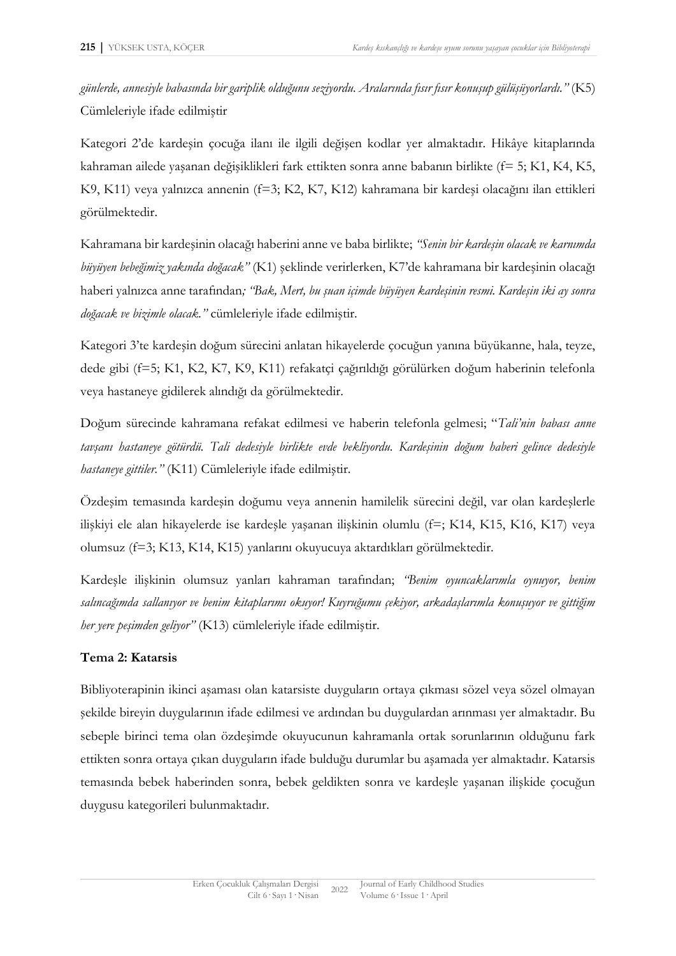*günlerde, annesiyle babasında bir gariplik olduğunu seziyordu. Aralarında fısır fısır konuşup gülüşüyorlardı."* (K5) Cümleleriyle ifade edilmiştir

Kategori 2'de kardeşin çocuğa ilanı ile ilgili değişen kodlar yer almaktadır. Hikâye kitaplarında kahraman ailede yaşanan değişiklikleri fark ettikten sonra anne babanın birlikte (f= 5; K1, K4, K5, K9, K11) veya yalnızca annenin (f=3; K2, K7, K12) kahramana bir kardeşi olacağını ilan ettikleri görülmektedir.

Kahramana bir kardeşinin olacağı haberini anne ve baba birlikte; *"Senin bir kardeşin olacak ve karnımda büyüyen bebeğimiz yakında doğacak"* (K1) şeklinde verirlerken, K7'de kahramana bir kardeşinin olacağı haberi yalnızca anne tarafından*; "Bak, Mert, bu şuan içimde büyüyen kardeşinin resmi. Kardeşin iki ay sonra doğacak ve bizimle olacak."* cümleleriyle ifade edilmiştir.

Kategori 3'te kardeşin doğum sürecini anlatan hikayelerde çocuğun yanına büyükanne, hala, teyze, dede gibi (f=5; K1, K2, K7, K9, K11) refakatçi çağırıldığı görülürken doğum haberinin telefonla veya hastaneye gidilerek alındığı da görülmektedir.

Doğum sürecinde kahramana refakat edilmesi ve haberin telefonla gelmesi; "*Tali'nin babası anne tavşanı hastaneye götürdü. Tali dedesiyle birlikte evde bekliyordu. Kardeşinin doğum haberi gelince dedesiyle hastaneye gittiler."* (K11) Cümleleriyle ifade edilmiştir.

Özdeşim temasında kardeşin doğumu veya annenin hamilelik sürecini değil, var olan kardeşlerle ilişkiyi ele alan hikayelerde ise kardeşle yaşanan ilişkinin olumlu (f=; K14, K15, K16, K17) veya olumsuz (f=3; K13, K14, K15) yanlarını okuyucuya aktardıkları görülmektedir.

Kardeşle ilişkinin olumsuz yanları kahraman tarafından; *"Benim oyuncaklarımla oynuyor, benim salıncağımda sallanıyor ve benim kitaplarımı okuyor! Kuyruğumu çekiyor, arkadaşlarımla konuşuyor ve gittiğim her yere peşimden geliyor"* (K13) cümleleriyle ifade edilmiştir.

## **Tema 2: Katarsis**

Bibliyoterapinin ikinci aşaması olan katarsiste duyguların ortaya çıkması sözel veya sözel olmayan şekilde bireyin duygularının ifade edilmesi ve ardından bu duygulardan arınması yer almaktadır. Bu sebeple birinci tema olan özdeşimde okuyucunun kahramanla ortak sorunlarının olduğunu fark ettikten sonra ortaya çıkan duyguların ifade bulduğu durumlar bu aşamada yer almaktadır. Katarsis temasında bebek haberinden sonra, bebek geldikten sonra ve kardeşle yaşanan ilişkide çocuğun duygusu kategorileri bulunmaktadır.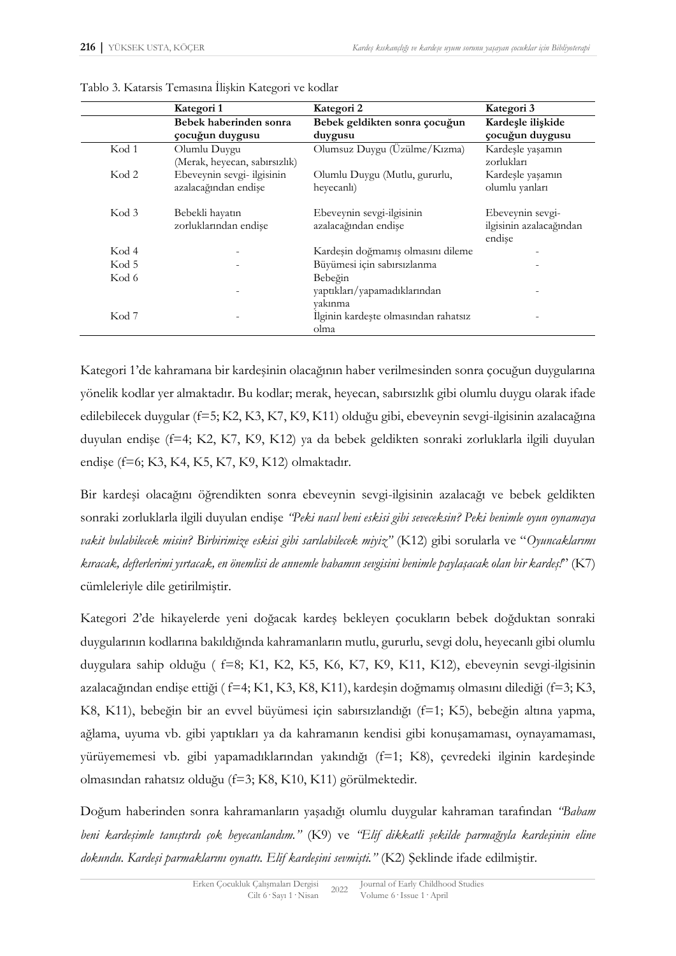|                  | Kategori 1                    | Kategori 2                           | Kategori 3                        |
|------------------|-------------------------------|--------------------------------------|-----------------------------------|
|                  | Bebek haberinden sonra        | Bebek geldikten sonra çocuğun        | Kardeşle ilişkide                 |
|                  | çocuğun duygusu               | duygusu                              | çocuğun duygusu                   |
| Kod 1            | Olumlu Duygu                  | Olumsuz Duygu (Üzülme/Kızma)         | Kardeşle yaşamın                  |
|                  | (Merak, heyecan, sabırsızlık) |                                      | zorlukları                        |
| Kod <sub>2</sub> | Ebeveynin sevgi- ilgisinin    | Olumlu Duygu (Mutlu, gururlu,        | Kardeşle yaşamın                  |
|                  | azalacağından endişe          | heyecanlı)                           | olumlu yanları                    |
| Kod 3            | Bebekli hayatın               | Ebeveynin sevgi-ilgisinin            | Ebeveynin sevgi-                  |
|                  | zorluklarından endişe         | azalacağından endişe                 | ilgisinin azalacağından<br>endise |
| Kod 4            |                               | Kardeşin doğmamış olmasını dileme    |                                   |
| Kod 5            |                               | Büyümesi için sabırsızlanma          |                                   |
| Kod 6            |                               | Bebeğin                              |                                   |
|                  |                               | yaptıkları/yapamadıklarından         |                                   |
|                  |                               | vakınma                              |                                   |
| Kod <sub>7</sub> |                               | Ilginin kardeşte olmasından rahatsız |                                   |
|                  |                               | olma                                 |                                   |

|  | Tablo 3. Katarsis Temasına İlişkin Kategori ve kodlar |  |  |
|--|-------------------------------------------------------|--|--|
|  |                                                       |  |  |

Kategori 1'de kahramana bir kardeşinin olacağının haber verilmesinden sonra çocuğun duygularına yönelik kodlar yer almaktadır. Bu kodlar; merak, heyecan, sabırsızlık gibi olumlu duygu olarak ifade edilebilecek duygular (f=5; K2, K3, K7, K9, K11) olduğu gibi, ebeveynin sevgi-ilgisinin azalacağına duyulan endişe (f=4; K2, K7, K9, K12) ya da bebek geldikten sonraki zorluklarla ilgili duyulan endişe (f=6; K3, K4, K5, K7, K9, K12) olmaktadır.

Bir kardeşi olacağını öğrendikten sonra ebeveynin sevgi-ilgisinin azalacağı ve bebek geldikten sonraki zorluklarla ilgili duyulan endişe *"Peki nasıl beni eskisi gibi seveceksin? Peki benimle oyun oynamaya vakit bulabilecek misin? Birbirimize eskisi gibi sarılabilecek miyiz"* (K12) gibi sorularla ve "*Oyuncaklarımı kıracak, defterlerimi yırtacak, en önemlisi de annemle babamın sevgisini benimle paylaşacak olan bir kardeş!*" (K7) cümleleriyle dile getirilmiştir.

Kategori 2'de hikayelerde yeni doğacak kardeş bekleyen çocukların bebek doğduktan sonraki duygularının kodlarına bakıldığında kahramanların mutlu, gururlu, sevgi dolu, heyecanlı gibi olumlu duygulara sahip olduğu ( f=8; K1, K2, K5, K6, K7, K9, K11, K12), ebeveynin sevgi-ilgisinin azalacağından endişe ettiği ( f=4; K1, K3, K8, K11), kardeşin doğmamış olmasını dilediği (f=3; K3, K8, K11), bebeğin bir an evvel büyümesi için sabırsızlandığı (f=1; K5), bebeğin altına yapma, ağlama, uyuma vb. gibi yaptıkları ya da kahramanın kendisi gibi konuşamaması, oynayamaması, yürüyememesi vb. gibi yapamadıklarından yakındığı (f=1; K8), çevredeki ilginin kardeşinde olmasından rahatsız olduğu (f=3; K8, K10, K11) görülmektedir.

Doğum haberinden sonra kahramanların yaşadığı olumlu duygular kahraman tarafından *"Babam beni kardeşimle tanıştırdı çok heyecanlandım."* (K9) ve *"Elif dikkatli şekilde parmağıyla kardeşinin eline dokundu. Kardeşi parmaklarını oynattı. Elif kardeşini sevmişti."* (K2) Şeklinde ifade edilmiştir.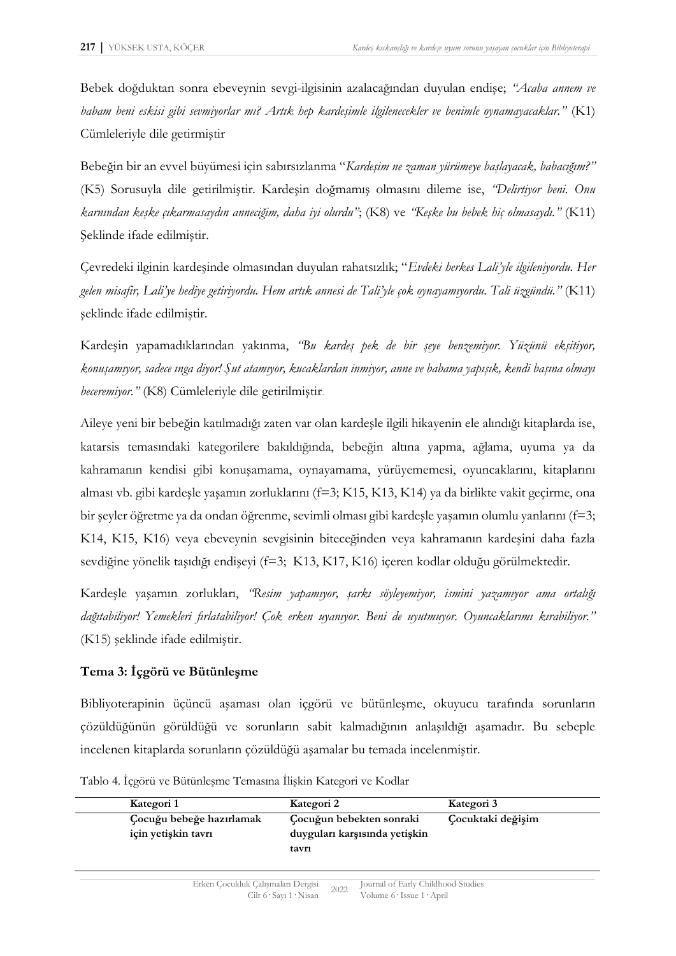Bebek doğduktan sonra ebeveynin sevgi-ilgisinin azalacağından duyulan endişe; *"Acaba annem ve babam beni eskisi gibi sevmiyorlar mı? Artık hep kardeşimle ilgilenecekler ve benimle oynamayacaklar."* (K1) Cümleleriyle dile getirmiştir

Bebeğin bir an evvel büyümesi için sabırsızlanma "*Kardeşim ne zaman yürümeye başlayacak, babacığım?"* (K5) Sorusuyla dile getirilmiştir. Kardeşin doğmamış olmasını dileme ise, *"Delirtiyor beni. Onu karnından keşke çıkarmasaydın anneciğim, daha iyi olurdu"*; (K8) ve *"Keşke bu bebek hiç olmasaydı."* (K11) Şeklinde ifade edilmiştir.

Çevredeki ilginin kardeşinde olmasından duyulan rahatsızlık; "*Evdeki herkes Lali'yle ilgileniyordu. Her gelen misafir, Lali'ye hediye getiriyordu. Hem artık annesi de Tali'yle çok oynayamıyordu. Tali üzgündü."* (K11) şeklinde ifade edilmiştir.

Kardeşin yapamadıklarından yakınma, *"Bu kardeş pek de bir şeye benzemiyor. Yüzünü ekşitiyor, konuşamıyor, sadece ınga diyor! Şut atamıyor, kucaklardan inmiyor, anne ve babama yapışık, kendi başına olmayı beceremiyor."* (K8) Cümleleriyle dile getirilmiştir.

Aileye yeni bir bebeğin katılmadığı zaten var olan kardeşle ilgili hikayenin ele alındığı kitaplarda ise, katarsis temasındaki kategorilere bakıldığında, bebeğin altına yapma, ağlama, uyuma ya da kahramanın kendisi gibi konuşamama, oynayamama, yürüyememesi, oyuncaklarını, kitaplarını alması vb. gibi kardeşle yaşamın zorluklarını (f=3; K15, K13, K14) ya da birlikte vakit geçirme, ona bir şeyler öğretme ya da ondan öğrenme, sevimli olması gibi kardeşle yaşamın olumlu yanlarını (f=3; K14, K15, K16) veya ebeveynin sevgisinin biteceğinden veya kahramanın kardeşini daha fazla sevdiğine yönelik taşıdığı endişeyi (f=3; K13, K17, K16) içeren kodlar olduğu görülmektedir.

Kardeşle yaşamın zorlukları, *"Resim yapamıyor, şarkı söyleyemiyor, ismini yazamıyor ama ortalığı dağıtabiliyor! Yemekleri fırlatabiliyor! Çok erken uyanıyor. Beni de uyutmuyor. Oyuncaklarımı kırabiliyor."* (K15) şeklinde ifade edilmiştir.

## **Tema 3: İçgörü ve Bütünleşme**

Bibliyoterapinin üçüncü aşaması olan içgörü ve bütünleşme, okuyucu tarafında sorunların çözüldüğünün görüldüğü ve sorunların sabit kalmadığının anlaşıldığı aşamadır. Bu sebeple incelenen kitaplarda sorunların çözüldüğü aşamalar bu temada incelenmiştir.

| Kategori 1                                      | Kategori 2                                                | Kategori 3        |
|-------------------------------------------------|-----------------------------------------------------------|-------------------|
| Çocuğu bebeğe hazırlamak<br>için yetişkin tavrı | Çocuğun bebekten sonraki<br>duyguları karşısında yetişkin | Çocuktaki değişim |
|                                                 | tavri                                                     |                   |

Tablo 4. İçgörü ve Bütünleşme Temasına İlişkin Kategori ve Kodlar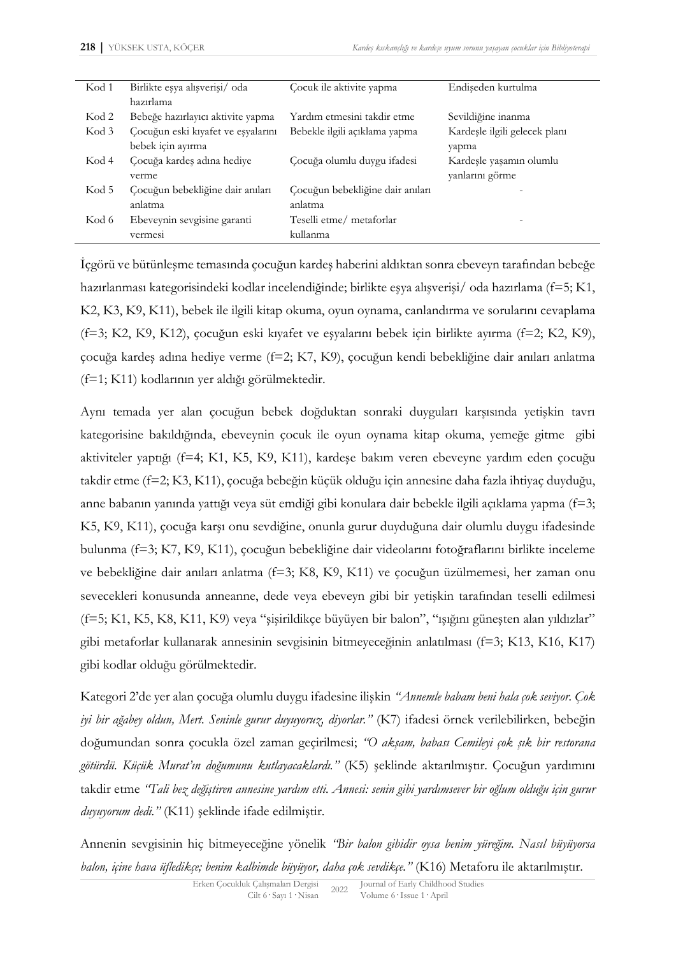| Kod 1 | Birlikte eşya alışverişi/ oda      | Cocuk ile aktivite yapma         | Endişeden kurtulma            |
|-------|------------------------------------|----------------------------------|-------------------------------|
|       | hazırlama                          |                                  |                               |
| Kod 2 | Bebeğe hazırlayıcı aktivite yapma  | Yardım etmesini takdir etme      | Sevildiğine inanma            |
| Kod 3 | Çocuğun eski kıyafet ve eşyalarını | Bebekle ilgili açıklama yapma    | Kardeşle ilgili gelecek planı |
|       | bebek için ayırma                  |                                  | yapma                         |
| Kod 4 | Cocuğa kardeş adına hediye         | Çocuğa olumlu duygu ifadesi      | Kardeşle yaşamın olumlu       |
|       | verme                              |                                  | yanlarını görme               |
| Kod 5 | Çocuğun bebekliğine dair anıları   | Çocuğun bebekliğine dair anıları |                               |
|       | anlatma                            | anlatma                          |                               |
| Kod 6 | Ebeveynin sevgisine garanti        | Teselli etme/metaforlar          |                               |
|       | vermesi                            | kullanma                         |                               |

İçgörü ve bütünleşme temasında çocuğun kardeş haberini aldıktan sonra ebeveyn tarafından bebeğe hazırlanması kategorisindeki kodlar incelendiğinde; birlikte eşya alışverişi/ oda hazırlama (f=5; K1, K2, K3, K9, K11), bebek ile ilgili kitap okuma, oyun oynama, canlandırma ve sorularını cevaplama (f=3; K2, K9, K12), çocuğun eski kıyafet ve eşyalarını bebek için birlikte ayırma (f=2; K2, K9), çocuğa kardeş adına hediye verme (f=2; K7, K9), çocuğun kendi bebekliğine dair anıları anlatma (f=1; K11) kodlarının yer aldığı görülmektedir.

Aynı temada yer alan çocuğun bebek doğduktan sonraki duyguları karşısında yetişkin tavrı kategorisine bakıldığında, ebeveynin çocuk ile oyun oynama kitap okuma, yemeğe gitme gibi aktiviteler yaptığı (f=4; K1, K5, K9, K11), kardeşe bakım veren ebeveyne yardım eden çocuğu takdir etme (f=2; K3, K11), çocuğa bebeğin küçük olduğu için annesine daha fazla ihtiyaç duyduğu, anne babanın yanında yattığı veya süt emdiği gibi konulara dair bebekle ilgili açıklama yapma (f=3; K5, K9, K11), çocuğa karşı onu sevdiğine, onunla gurur duyduğuna dair olumlu duygu ifadesinde bulunma (f=3; K7, K9, K11), çocuğun bebekliğine dair videolarını fotoğraflarını birlikte inceleme ve bebekliğine dair anıları anlatma (f=3; K8, K9, K11) ve çocuğun üzülmemesi, her zaman onu sevecekleri konusunda anneanne, dede veya ebeveyn gibi bir yetişkin tarafından teselli edilmesi (f=5; K1, K5, K8, K11, K9) veya "şişirildikçe büyüyen bir balon", "ışığını güneşten alan yıldızlar" gibi metaforlar kullanarak annesinin sevgisinin bitmeyeceğinin anlatılması (f=3; K13, K16, K17) gibi kodlar olduğu görülmektedir.

Kategori 2'de yer alan çocuğa olumlu duygu ifadesine ilişkin *"Annemle babam beni hala çok seviyor. Çok iyi bir ağabey oldun, Mert. Seninle gurur duyuyoruz, diyorlar."* (K7) ifadesi örnek verilebilirken, bebeğin doğumundan sonra çocukla özel zaman geçirilmesi; *"O akşam, babası Cemileyi çok şık bir restorana götürdü. Küçük Murat'ın doğumunu kutlayacaklardı."* (K5) şeklinde aktarılmıştır. Çocuğun yardımını takdir etme *"Tali bez değiştiren annesine yardım etti. Annesi: senin gibi yardımsever bir oğlum olduğu için gurur duyuyorum dedi."* (K11) şeklinde ifade edilmiştir.

Annenin sevgisinin hiç bitmeyeceğine yönelik *"Bir balon gibidir oysa benim yüreğim. Nasıl büyüyorsa balon, içine hava üfledikçe; benim kalbimde büyüyor, daha çok sevdikçe."* (K16) Metaforu ile aktarılmıştır.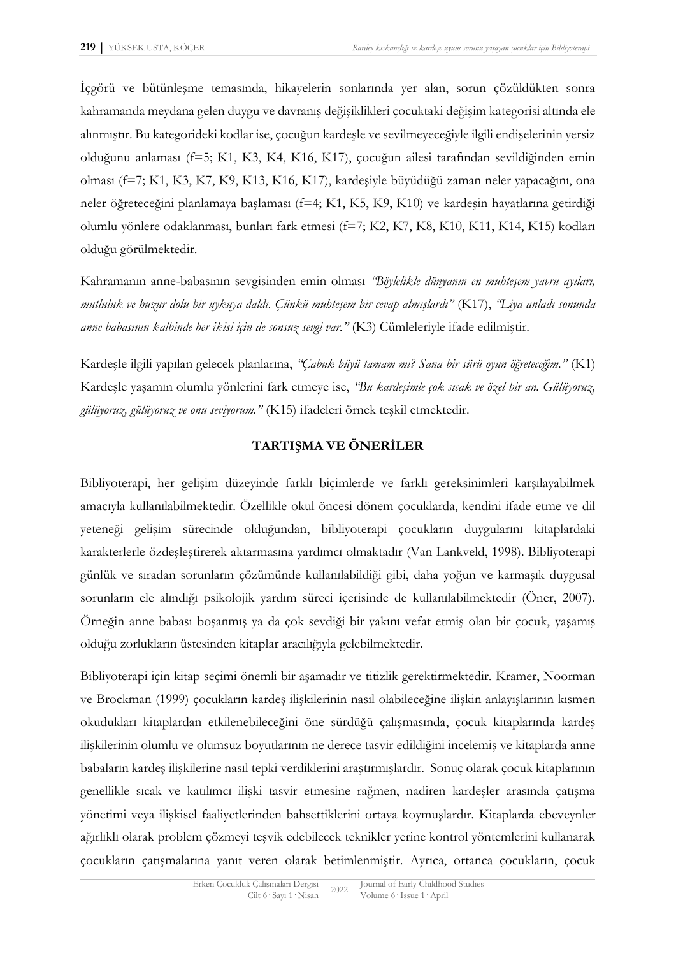İçgörü ve bütünleşme temasında, hikayelerin sonlarında yer alan, sorun çözüldükten sonra kahramanda meydana gelen duygu ve davranış değişiklikleri çocuktaki değişim kategorisi altında ele alınmıştır. Bu kategorideki kodlar ise, çocuğun kardeşle ve sevilmeyeceğiyle ilgili endişelerinin yersiz olduğunu anlaması (f=5; K1, K3, K4, K16, K17), çocuğun ailesi tarafından sevildiğinden emin olması (f=7; K1, K3, K7, K9, K13, K16, K17), kardeşiyle büyüdüğü zaman neler yapacağını, ona neler öğreteceğini planlamaya başlaması (f=4; K1, K5, K9, K10) ve kardeşin hayatlarına getirdiği olumlu yönlere odaklanması, bunları fark etmesi (f=7; K2, K7, K8, K10, K11, K14, K15) kodları olduğu görülmektedir.

Kahramanın anne-babasının sevgisinden emin olması *"Böylelikle dünyanın en muhteşem yavru ayıları, mutluluk ve huzur dolu bir uykuya daldı. Çünkü muhteşem bir cevap almışlardı"* (K17), *"Liya anladı sonunda anne babasının kalbinde her ikisi için de sonsuz sevgi var."* (K3) Cümleleriyle ifade edilmiştir.

Kardeşle ilgili yapılan gelecek planlarına, *"Çabuk büyü tamam mı? Sana bir sürü oyun öğreteceğim."* (K1) Kardeşle yaşamın olumlu yönlerini fark etmeye ise, *"Bu kardeşimle çok sıcak ve özel bir an. Gülüyoruz, gülüyoruz, gülüyoruz ve onu seviyorum."* (K15) ifadeleri örnek teşkil etmektedir.

## **TARTIŞMA VE ÖNERİLER**

Bibliyoterapi, her gelişim düzeyinde farklı biçimlerde ve farklı gereksinimleri karşılayabilmek amacıyla kullanılabilmektedir. Özellikle okul öncesi dönem çocuklarda, kendini ifade etme ve dil yeteneği gelişim sürecinde olduğundan, bibliyoterapi çocukların duygularını kitaplardaki karakterlerle özdeşleştirerek aktarmasına yardımcı olmaktadır (Van Lankveld, 1998). Bibliyoterapi günlük ve sıradan sorunların çözümünde kullanılabildiği gibi, daha yoğun ve karmaşık duygusal sorunların ele alındığı psikolojik yardım süreci içerisinde de kullanılabilmektedir (Öner, 2007). Örneğin anne babası boşanmış ya da çok sevdiği bir yakını vefat etmiş olan bir çocuk, yaşamış olduğu zorlukların üstesinden kitaplar aracılığıyla gelebilmektedir.

Bibliyoterapi için kitap seçimi önemli bir aşamadır ve titizlik gerektirmektedir. Kramer, Noorman ve Brockman (1999) çocukların kardeş ilişkilerinin nasıl olabileceğine ilişkin anlayışlarının kısmen okudukları kitaplardan etkilenebileceğini öne sürdüğü çalışmasında, çocuk kitaplarında kardeş ilişkilerinin olumlu ve olumsuz boyutlarının ne derece tasvir edildiğini incelemiş ve kitaplarda anne babaların kardeş ilişkilerine nasıl tepki verdiklerini araştırmışlardır. Sonuç olarak çocuk kitaplarının genellikle sıcak ve katılımcı ilişki tasvir etmesine rağmen, nadiren kardeşler arasında çatışma yönetimi veya ilişkisel faaliyetlerinden bahsettiklerini ortaya koymuşlardır. Kitaplarda ebeveynler ağırlıklı olarak problem çözmeyi teşvik edebilecek teknikler yerine kontrol yöntemlerini kullanarak çocukların çatışmalarına yanıt veren olarak betimlenmiştir. Ayrıca, ortanca çocukların, çocuk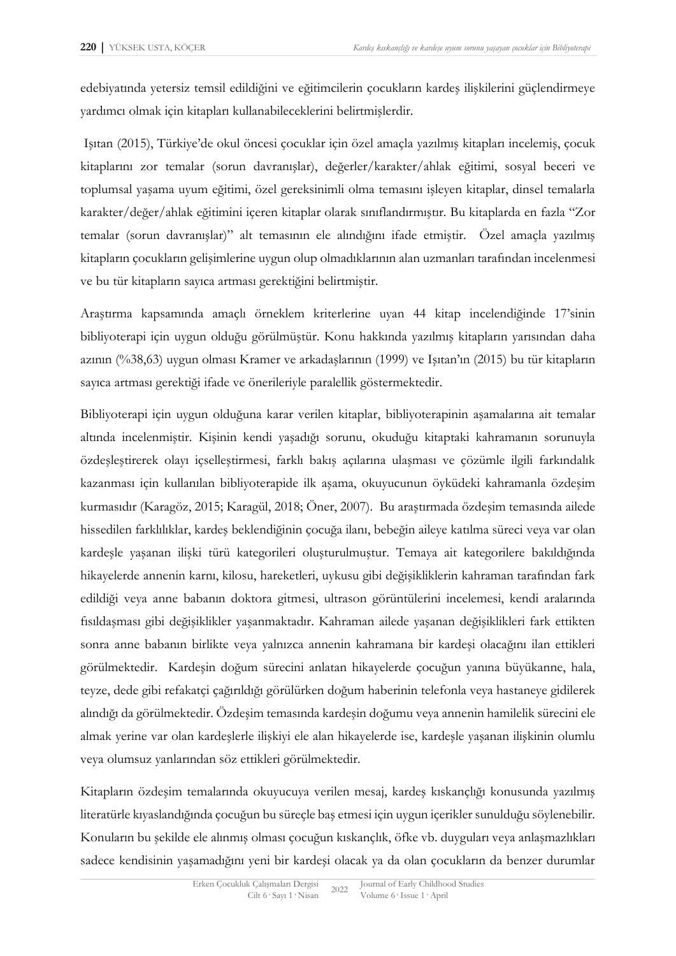edebiyatında yetersiz temsil edildiğini ve eğitimcilerin çocukların kardeş ilişkilerini güçlendirmeye yardımcı olmak için kitapları kullanabileceklerini belirtmişlerdir.

Işıtan (2015), Türkiye'de okul öncesi çocuklar için özel amaçla yazılmış kitapları incelemiş, çocuk kitaplarını zor temalar (sorun davranışlar), değerler/karakter/ahlak eğitimi, sosyal beceri ve toplumsal yaşama uyum eğitimi, özel gereksinimli olma temasını işleyen kitaplar, dinsel temalarla karakter/değer/ahlak eğitimini içeren kitaplar olarak sınıflandırmıştır. Bu kitaplarda en fazla "Zor temalar (sorun davranışlar)" alt temasının ele alındığını ifade etmiştir. Özel amaçla yazılmış kitapların çocukların gelişimlerine uygun olup olmadıklarının alan uzmanları tarafından incelenmesi ve bu tür kitapların sayıca artması gerektiğini belirtmiştir.

Araştırma kapsamında amaçlı örneklem kriterlerine uyan 44 kitap incelendiğinde 17'sinin bibliyoterapi için uygun olduğu görülmüştür. Konu hakkında yazılmış kitapların yarısından daha azının (%38,63) uygun olması Kramer ve arkadaşlarının (1999) ve Işıtan'ın (2015) bu tür kitapların sayıca artması gerektiği ifade ve önerileriyle paralellik göstermektedir.

Bibliyoterapi için uygun olduğuna karar verilen kitaplar, bibliyoterapinin aşamalarına ait temalar altında incelenmiştir. Kişinin kendi yaşadığı sorunu, okuduğu kitaptaki kahramanın sorunuyla özdeşleştirerek olayı içselleştirmesi, farklı bakış açılarına ulaşması ve çözümle ilgili farkındalık kazanması için kullanılan bibliyoterapide ilk aşama, okuyucunun öyküdeki kahramanla özdeşim kurmasıdır (Karagöz, 2015; Karagül, 2018; Öner, 2007). Bu araştırmada özdeşim temasında ailede hissedilen farklılıklar, kardeş beklendiğinin çocuğa ilanı, bebeğin aileye katılma süreci veya var olan kardeşle yaşanan ilişki türü kategorileri oluşturulmuştur. Temaya ait kategorilere bakıldığında hikayelerde annenin karnı, kilosu, hareketleri, uykusu gibi değişikliklerin kahraman tarafından fark edildiği veya anne babanın doktora gitmesi, ultrason görüntülerini incelemesi, kendi aralarında fısıldaşması gibi değişiklikler yaşanmaktadır. Kahraman ailede yaşanan değişiklikleri fark ettikten sonra anne babanın birlikte veya yalnızca annenin kahramana bir kardeşi olacağını ilan ettikleri görülmektedir. Kardeşin doğum sürecini anlatan hikayelerde çocuğun yanına büyükanne, hala, teyze, dede gibi refakatçi çağırıldığı görülürken doğum haberinin telefonla veya hastaneye gidilerek alındığı da görülmektedir. Özdeşim temasında kardeşin doğumu veya annenin hamilelik sürecini ele almak yerine var olan kardeşlerle ilişkiyi ele alan hikayelerde ise, kardeşle yaşanan ilişkinin olumlu veya olumsuz yanlarından söz ettikleri görülmektedir.

Kitapların özdeşim temalarında okuyucuya verilen mesaj, kardeş kıskançlığı konusunda yazılmış literatürle kıyaslandığında çocuğun bu süreçle baş etmesi için uygun içerikler sunulduğu söylenebilir. Konuların bu şekilde ele alınmış olması çocuğun kıskançlık, öfke vb. duyguları veya anlaşmazlıkları sadece kendisinin yaşamadığını yeni bir kardeşi olacak ya da olan çocukların da benzer durumlar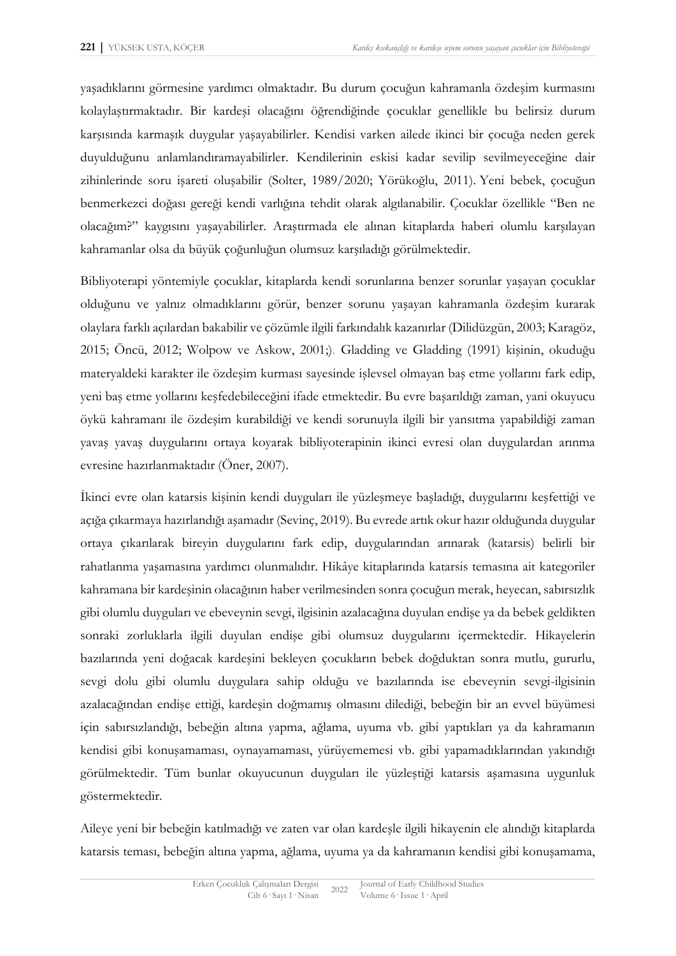yaşadıklarını görmesine yardımcı olmaktadır. Bu durum çocuğun kahramanla özdeşim kurmasını kolaylaştırmaktadır. Bir kardeşi olacağını öğrendiğinde çocuklar genellikle bu belirsiz durum karşısında karmaşık duygular yaşayabilirler. Kendisi varken ailede ikinci bir çocuğa neden gerek duyulduğunu anlamlandıramayabilirler. Kendilerinin eskisi kadar sevilip sevilmeyeceğine dair zihinlerinde soru işareti oluşabilir (Solter, 1989/2020; Yörükoğlu, 2011). Yeni bebek, çocuğun benmerkezci doğası gereği kendi varlığına tehdit olarak algılanabilir. Çocuklar özellikle "Ben ne olacağım?" kaygısını yaşayabilirler. Araştırmada ele alınan kitaplarda haberi olumlu karşılayan kahramanlar olsa da büyük çoğunluğun olumsuz karşıladığı görülmektedir.

Bibliyoterapi yöntemiyle çocuklar, kitaplarda kendi sorunlarına benzer sorunlar yaşayan çocuklar olduğunu ve yalnız olmadıklarını görür, benzer sorunu yaşayan kahramanla özdeşim kurarak olaylara farklı açılardan bakabilir ve çözümle ilgili farkındalık kazanırlar (Dilidüzgün, 2003; Karagöz, 2015; Öncü, 2012; Wolpow ve Askow, 2001;). Gladding ve Gladding (1991) kişinin, okuduğu materyaldeki karakter ile özdeşim kurması sayesinde işlevsel olmayan baş etme yollarını fark edip, yeni baş etme yollarını keşfedebileceğini ifade etmektedir. Bu evre başarıldığı zaman, yani okuyucu öykü kahramanı ile özdeşim kurabildiği ve kendi sorunuyla ilgili bir yansıtma yapabildiği zaman yavaş yavaş duygularını ortaya koyarak bibliyoterapinin ikinci evresi olan duygulardan arınma evresine hazırlanmaktadır (Öner, 2007).

İkinci evre olan katarsis kişinin kendi duyguları ile yüzleşmeye başladığı, duygularını keşfettiği ve açığa çıkarmaya hazırlandığı aşamadır (Sevinç, 2019). Bu evrede artık okur hazır olduğunda duygular ortaya çıkarılarak bireyin duygularını fark edip, duygularından arınarak (katarsis) belirli bir rahatlanma yaşamasına yardımcı olunmalıdır. Hikâye kitaplarında katarsis temasına ait kategoriler kahramana bir kardeşinin olacağının haber verilmesinden sonra çocuğun merak, heyecan, sabırsızlık gibi olumlu duyguları ve ebeveynin sevgi, ilgisinin azalacağına duyulan endişe ya da bebek geldikten sonraki zorluklarla ilgili duyulan endişe gibi olumsuz duygularını içermektedir. Hikayelerin bazılarında yeni doğacak kardeşini bekleyen çocukların bebek doğduktan sonra mutlu, gururlu, sevgi dolu gibi olumlu duygulara sahip olduğu ve bazılarında ise ebeveynin sevgi-ilgisinin azalacağından endişe ettiği, kardeşin doğmamış olmasını dilediği, bebeğin bir an evvel büyümesi için sabırsızlandığı, bebeğin altına yapma, ağlama, uyuma vb. gibi yaptıkları ya da kahramanın kendisi gibi konuşamaması, oynayamaması, yürüyememesi vb. gibi yapamadıklarından yakındığı görülmektedir. Tüm bunlar okuyucunun duyguları ile yüzleştiği katarsis aşamasına uygunluk göstermektedir.

Aileye yeni bir bebeğin katılmadığı ve zaten var olan kardeşle ilgili hikayenin ele alındığı kitaplarda katarsis teması, bebeğin altına yapma, ağlama, uyuma ya da kahramanın kendisi gibi konuşamama,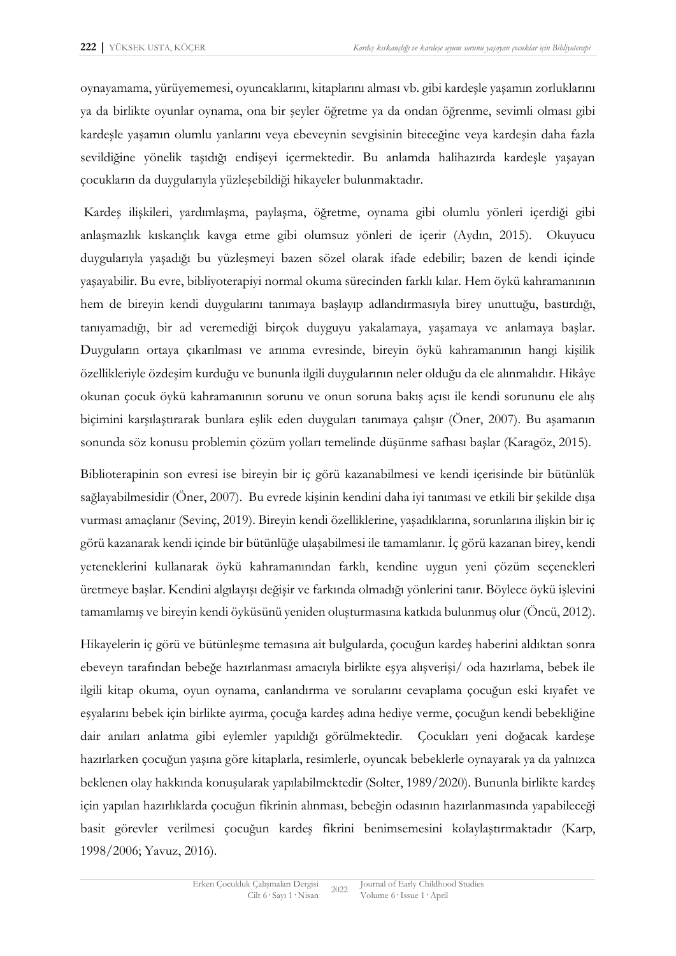oynayamama, yürüyememesi, oyuncaklarını, kitaplarını alması vb. gibi kardeşle yaşamın zorluklarını ya da birlikte oyunlar oynama, ona bir şeyler öğretme ya da ondan öğrenme, sevimli olması gibi kardeşle yaşamın olumlu yanlarını veya ebeveynin sevgisinin biteceğine veya kardeşin daha fazla sevildiğine yönelik taşıdığı endişeyi içermektedir. Bu anlamda halihazırda kardeşle yaşayan çocukların da duygularıyla yüzleşebildiği hikayeler bulunmaktadır.

Kardeş ilişkileri, yardımlaşma, paylaşma, öğretme, oynama gibi olumlu yönleri içerdiği gibi anlaşmazlık kıskançlık kavga etme gibi olumsuz yönleri de içerir (Aydın, 2015). Okuyucu duygularıyla yaşadığı bu yüzleşmeyi bazen sözel olarak ifade edebilir; bazen de kendi içinde yaşayabilir. Bu evre, bibliyoterapiyi normal okuma sürecinden farklı kılar. Hem öykü kahramanının hem de bireyin kendi duygularını tanımaya başlayıp adlandırmasıyla birey unuttuğu, bastırdığı, tanıyamadığı, bir ad veremediği birçok duyguyu yakalamaya, yaşamaya ve anlamaya başlar. Duyguların ortaya çıkarılması ve arınma evresinde, bireyin öykü kahramanının hangi kişilik özellikleriyle özdeşim kurduğu ve bununla ilgili duygularının neler olduğu da ele alınmalıdır. Hikâye okunan çocuk öykü kahramanının sorunu ve onun soruna bakış açısı ile kendi sorununu ele alış biçimini karşılaştırarak bunlara eşlik eden duyguları tanımaya çalışır (Öner, 2007). Bu aşamanın sonunda söz konusu problemin çözüm yolları temelinde düşünme safhası başlar (Karagöz, 2015).

Biblioterapinin son evresi ise bireyin bir iç görü kazanabilmesi ve kendi içerisinde bir bütünlük sağlayabilmesidir (Öner, 2007). Bu evrede kişinin kendini daha iyi tanıması ve etkili bir şekilde dışa vurması amaçlanır (Sevinç, 2019). Bireyin kendi özelliklerine, yaşadıklarına, sorunlarına ilişkin bir iç görü kazanarak kendi içinde bir bütünlüğe ulaşabilmesi ile tamamlanır. İç görü kazanan birey, kendi yeteneklerini kullanarak öykü kahramanından farklı, kendine uygun yeni çözüm seçenekleri üretmeye başlar. Kendini algılayışı değişir ve farkında olmadığı yönlerini tanır. Böylece öykü işlevini tamamlamış ve bireyin kendi öyküsünü yeniden oluşturmasına katkıda bulunmuş olur (Öncü, 2012).

Hikayelerin iç görü ve bütünleşme temasına ait bulgularda, çocuğun kardeş haberini aldıktan sonra ebeveyn tarafından bebeğe hazırlanması amacıyla birlikte eşya alışverişi/ oda hazırlama, bebek ile ilgili kitap okuma, oyun oynama, canlandırma ve sorularını cevaplama çocuğun eski kıyafet ve eşyalarını bebek için birlikte ayırma, çocuğa kardeş adına hediye verme, çocuğun kendi bebekliğine dair anıları anlatma gibi eylemler yapıldığı görülmektedir. Çocukları yeni doğacak kardeşe hazırlarken çocuğun yaşına göre kitaplarla, resimlerle, oyuncak bebeklerle oynayarak ya da yalnızca beklenen olay hakkında konuşularak yapılabilmektedir (Solter, 1989/2020). Bununla birlikte kardeş için yapılan hazırlıklarda çocuğun fikrinin alınması, bebeğin odasının hazırlanmasında yapabileceği basit görevler verilmesi çocuğun kardeş fikrini benimsemesini kolaylaştırmaktadır (Karp, 1998/2006; Yavuz, 2016).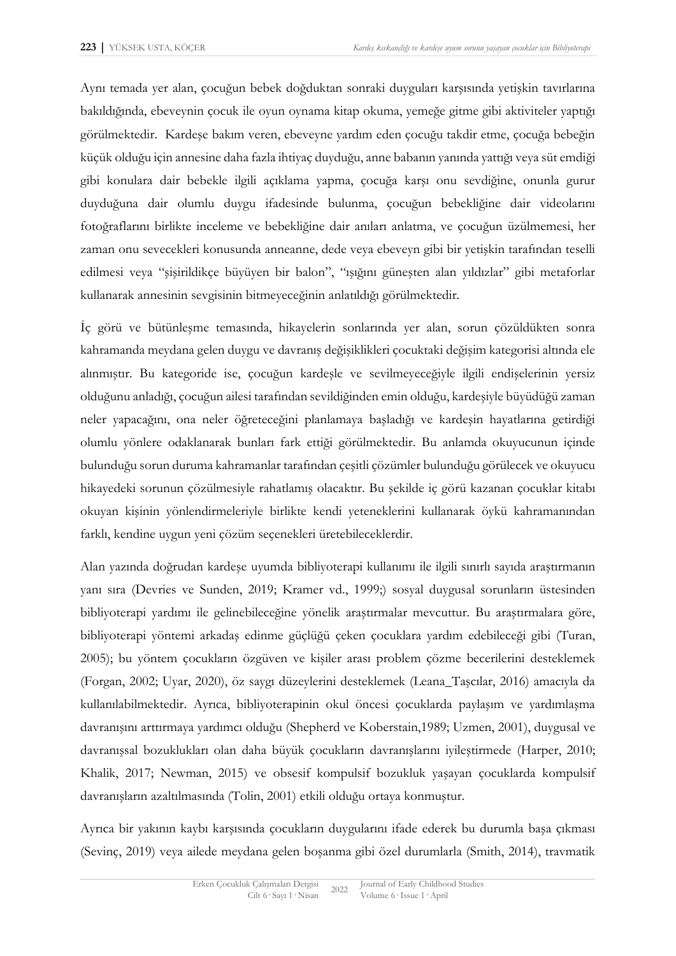Aynı temada yer alan, çocuğun bebek doğduktan sonraki duyguları karşısında yetişkin tavırlarına bakıldığında, ebeveynin çocuk ile oyun oynama kitap okuma, yemeğe gitme gibi aktiviteler yaptığı görülmektedir. Kardeşe bakım veren, ebeveyne yardım eden çocuğu takdir etme, çocuğa bebeğin küçük olduğu için annesine daha fazla ihtiyaç duyduğu, anne babanın yanında yattığı veya süt emdiği gibi konulara dair bebekle ilgili açıklama yapma, çocuğa karşı onu sevdiğine, onunla gurur duyduğuna dair olumlu duygu ifadesinde bulunma, çocuğun bebekliğine dair videolarını fotoğraflarını birlikte inceleme ve bebekliğine dair anıları anlatma, ve çocuğun üzülmemesi, her zaman onu sevecekleri konusunda anneanne, dede veya ebeveyn gibi bir yetişkin tarafından teselli edilmesi veya "şişirildikçe büyüyen bir balon", "ışığını güneşten alan yıldızlar" gibi metaforlar kullanarak annesinin sevgisinin bitmeyeceğinin anlatıldığı görülmektedir.

İç görü ve bütünleşme temasında, hikayelerin sonlarında yer alan, sorun çözüldükten sonra kahramanda meydana gelen duygu ve davranış değişiklikleri çocuktaki değişim kategorisi altında ele alınmıştır. Bu kategoride ise, çocuğun kardeşle ve sevilmeyeceğiyle ilgili endişelerinin yersiz olduğunu anladığı, çocuğun ailesi tarafından sevildiğinden emin olduğu, kardeşiyle büyüdüğü zaman neler yapacağını, ona neler öğreteceğini planlamaya başladığı ve kardeşin hayatlarına getirdiği olumlu yönlere odaklanarak bunları fark ettiği görülmektedir. Bu anlamda okuyucunun içinde bulunduğu sorun duruma kahramanlar tarafından çeşitli çözümler bulunduğu görülecek ve okuyucu hikayedeki sorunun çözülmesiyle rahatlamış olacaktır. Bu şekilde iç görü kazanan çocuklar kitabı okuyan kişinin yönlendirmeleriyle birlikte kendi yeteneklerini kullanarak öykü kahramanından farklı, kendine uygun yeni çözüm seçenekleri üretebileceklerdir.

Alan yazında doğrudan kardeşe uyumda bibliyoterapi kullanımı ile ilgili sınırlı sayıda araştırmanın yanı sıra (Devries ve Sunden, 2019; Kramer vd., 1999;) sosyal duygusal sorunların üstesinden bibliyoterapi yardımı ile gelinebileceğine yönelik araştırmalar mevcuttur. Bu araştırmalara göre, bibliyoterapi yöntemi arkadaş edinme güçlüğü çeken çocuklara yardım edebileceği gibi (Turan, 2005); bu yöntem çocukların özgüven ve kişiler arası problem çözme becerilerini desteklemek (Forgan, 2002; Uyar, 2020), öz saygı düzeylerini desteklemek (Leana\_Taşcılar, 2016) amacıyla da kullanılabilmektedir. Ayrıca, bibliyoterapinin okul öncesi çocuklarda paylaşım ve yardımlaşma davranışını arttırmaya yardımcı olduğu (Shepherd ve Koberstain,1989; Uzmen, 2001), duygusal ve davranışsal bozuklukları olan daha büyük çocukların davranışlarını iyileştirmede (Harper, 2010; Khalik, 2017; Newman, 2015) ve obsesif kompulsif bozukluk yaşayan çocuklarda kompulsif davranışların azaltılmasında (Tolin, 2001) etkili olduğu ortaya konmuştur.

Ayrıca bir yakının kaybı karşısında çocukların duygularını ifade ederek bu durumla başa çıkması (Sevinç, 2019) veya ailede meydana gelen boşanma gibi özel durumlarla (Smith, 2014), travmatik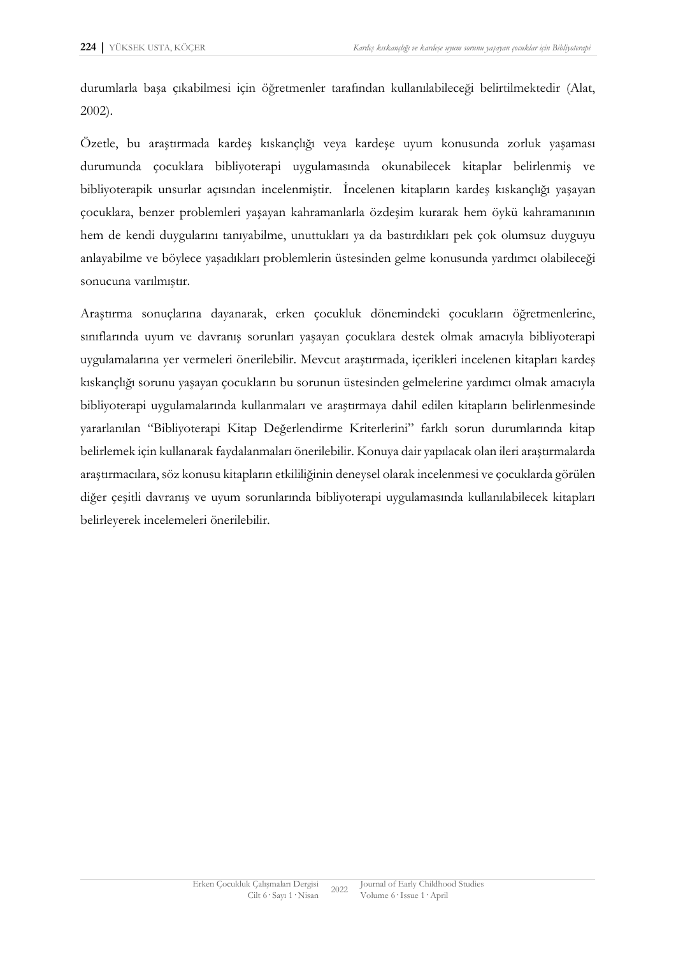durumlarla başa çıkabilmesi için öğretmenler tarafından kullanılabileceği belirtilmektedir (Alat, 2002).

Özetle, bu araştırmada kardeş kıskançlığı veya kardeşe uyum konusunda zorluk yaşaması durumunda çocuklara bibliyoterapi uygulamasında okunabilecek kitaplar belirlenmiş ve bibliyoterapik unsurlar açısından incelenmiştir. İncelenen kitapların kardeş kıskançlığı yaşayan çocuklara, benzer problemleri yaşayan kahramanlarla özdeşim kurarak hem öykü kahramanının hem de kendi duygularını tanıyabilme, unuttukları ya da bastırdıkları pek çok olumsuz duyguyu anlayabilme ve böylece yaşadıkları problemlerin üstesinden gelme konusunda yardımcı olabileceği sonucuna varılmıştır.

Araştırma sonuçlarına dayanarak, erken çocukluk dönemindeki çocukların öğretmenlerine, sınıflarında uyum ve davranış sorunları yaşayan çocuklara destek olmak amacıyla bibliyoterapi uygulamalarına yer vermeleri önerilebilir. Mevcut araştırmada, içerikleri incelenen kitapları kardeş kıskançlığı sorunu yaşayan çocukların bu sorunun üstesinden gelmelerine yardımcı olmak amacıyla bibliyoterapi uygulamalarında kullanmaları ve araştırmaya dahil edilen kitapların belirlenmesinde yararlanılan "Bibliyoterapi Kitap Değerlendirme Kriterlerini" farklı sorun durumlarında kitap belirlemek için kullanarak faydalanmaları önerilebilir. Konuya dair yapılacak olan ileri araştırmalarda araştırmacılara, söz konusu kitapların etkililiğinin deneysel olarak incelenmesi ve çocuklarda görülen diğer çeşitli davranış ve uyum sorunlarında bibliyoterapi uygulamasında kullanılabilecek kitapları belirleyerek incelemeleri önerilebilir.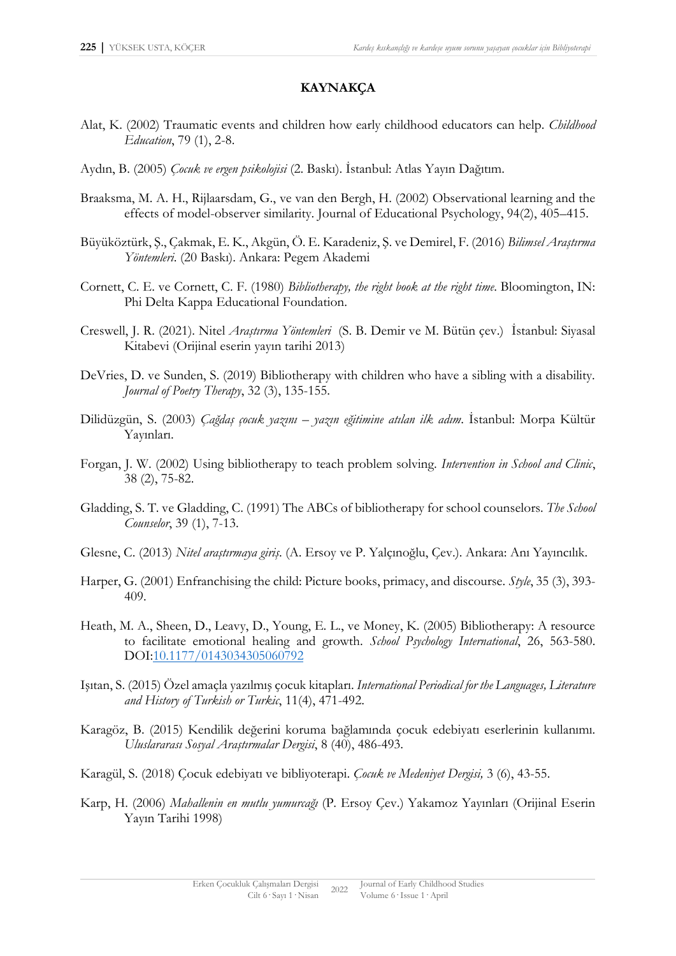## **KAYNAKÇA**

- Alat, K. (2002) Traumatic events and children how early childhood educators can help. *Childhood Education*, 79 (1), 2-8.
- Aydın, B. (2005) *Çocuk ve ergen psikolojisi* (2. Baskı). İstanbul: Atlas Yayın Dağıtım.
- Braaksma, M. A. H., Rijlaarsdam, G., ve van den Bergh, H. (2002) Observational learning and the effects of model-observer similarity. Journal of Educational Psychology, 94(2), 405–415.
- Büyüköztürk, Ş., Çakmak, E. K., Akgün, Ö. E. Karadeniz, Ş. ve Demirel, F. (2016) *Bilimsel Araştırma Yöntemleri*. (20 Baskı). Ankara: Pegem Akademi
- Cornett, C. E. ve Cornett, C. F. (1980) *Bibliotherapy, the right book at the right time*. Bloomington, IN: Phi Delta Kappa Educational Foundation.
- Creswell, J. R. (2021). Nitel *Araştırma Yöntemleri* (S. B. Demir ve M. Bütün çev.) İstanbul: Siyasal Kitabevi (Orijinal eserin yayın tarihi 2013)
- DeVries, D. ve Sunden, S. (2019) Bibliotherapy with children who have a sibling with a disability. *Journal of Poetry Therapy*, 32 (3), 135-155.
- Dilidüzgün, S. (2003) *Çağdaş çocuk yazını – yazın eğitimine atılan ilk adım*. İstanbul: Morpa Kültür Yayınları.
- Forgan, J. W. (2002) Using bibliotherapy to teach problem solving. *Intervention in School and Clinic*, 38 (2), 75-82.
- Gladding, S. T. ve Gladding, C. (1991) The ABCs of bibliotherapy for school counselors. *The School Counselor*, 39 (1), 7-13.
- Glesne, C. (2013) *Nitel araştırmaya giriş*. (A. Ersoy ve P. Yalçınoğlu, Çev.). Ankara: Anı Yayıncılık.
- Harper, G. (2001) Enfranchising the child: Picture books, primacy, and discourse. *Style*, 35 (3), 393- 409.
- Heath, M. A., Sheen, D., Leavy, D., Young, E. L., ve Money, K. (2005) Bibliotherapy: A resource to facilitate emotional healing and growth. *School Psychology International*, 26, 563-580. DOI[:10.1177/0143034305060792](about:blank)
- Işıtan, S. (2015) Özel amaçla yazılmış çocuk kitapları. *International Periodical for the Languages, Literature and History of Turkish or Turkic*, 11(4), 471-492.
- Karagöz, B. (2015) Kendilik değerini koruma bağlamında çocuk edebiyatı eserlerinin kullanımı. *Uluslararası Sosyal Araştırmalar Dergisi*, 8 (40), 486-493.
- Karagül, S. (2018) Çocuk edebiyatı ve bibliyoterapi. *Çocuk ve Medeniyet Dergisi,* 3 (6), 43-55.
- Karp, H. (2006) *Mahallenin en mutlu yumurcağı* (P. Ersoy Çev.) Yakamoz Yayınları (Orijinal Eserin Yayın Tarihi 1998)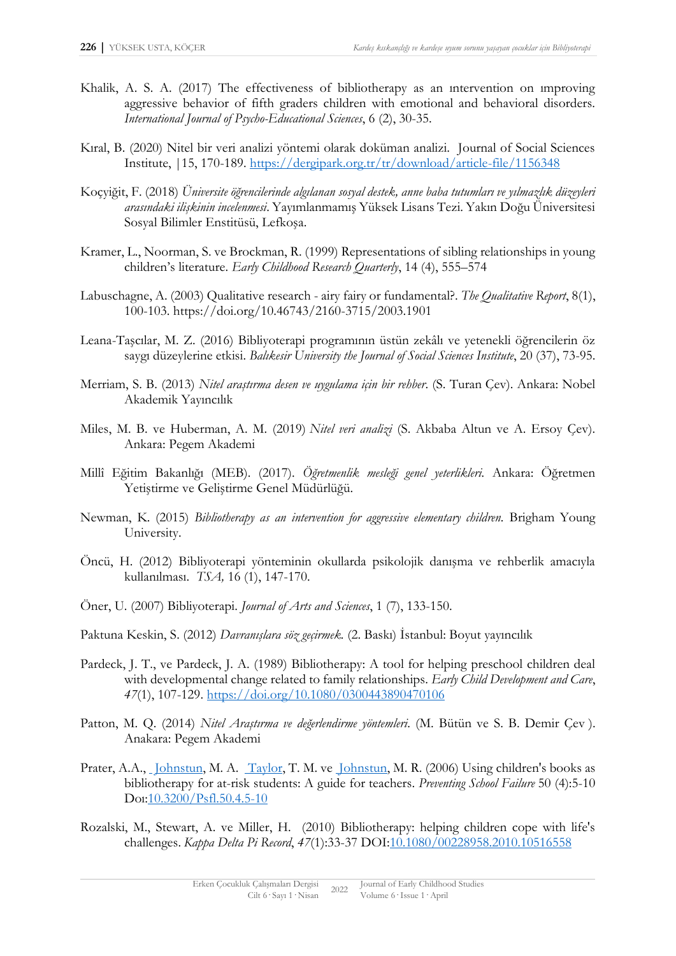- Khalik, A. S. A. (2017) The effectiveness of bibliotherapy as an ıntervention on ımproving aggressive behavior of fifth graders children with emotional and behavioral disorders. *International Journal of Psycho-Educational Sciences*, 6 (2), 30-35.
- Kıral, B. (2020) Nitel bir veri analizi yöntemi olarak doküman analizi. Journal of Social Sciences Institute, |15, 170-189. [https://dergipark.org.tr/tr/download/article-file/1156348](about:blank)
- Koçyiğit, F. (2018) *Üniversite öğrencilerinde algılanan sosyal destek, anne baba tutumları ve yılmazlık düzeyleri arasındaki ilişkinin incelenmesi*. Yayımlanmamış Yüksek Lisans Tezi. Yakın Doğu Üniversitesi Sosyal Bilimler Enstitüsü, Lefkoşa.
- Kramer, L., Noorman, S. ve Brockman, R. (1999) Representations of sibling relationships in young children's literature. *Early Childhood Research Quarterly*, 14 (4), 555–574
- Labuschagne, A. (2003) Qualitative research airy fairy or fundamental?. *The Qualitative Report*, 8(1), 100-103. https://doi.org/10.46743/2160-3715/2003.1901
- Leana-Taşcılar, M. Z. (2016) Bibliyoterapi programının üstün zekâlı ve yetenekli öğrencilerin öz saygı düzeylerine etkisi. *Balıkesir University the Journal of Social Sciences Institute*, 20 (37), 73-95.
- Merriam, S. B. (2013) *Nitel araştırma desen ve uygulama için bir rehber*. (S. Turan Çev). Ankara: Nobel Akademik Yayıncılık
- Miles, M. B. ve Huberman, A. M. (2019) *Nitel veri analizi* (S. Akbaba Altun ve A. Ersoy Çev). Ankara: Pegem Akademi
- Millî Eğitim Bakanlığı (MEB). (2017). *Öğretmenlik mesleği genel yeterlikleri.* Ankara: Öğretmen Yetiştirme ve Geliştirme Genel Müdürlüğü.
- Newman, K. (2015) *Bibliotherapy as an intervention for aggressive elementary children.* Brigham Young University.
- Öncü, H. (2012) Bibliyoterapi yönteminin okullarda psikolojik danışma ve rehberlik amacıyla kullanılması. *TSA,* 16 (1), 147-170.
- Öner, U. (2007) Bibliyoterapi. *Journal of Arts and Sciences*, 1 (7), 133-150.
- Paktuna Keskin, S. (2012) *Davranışlara söz geçirmek.* (2. Baskı) İstanbul: Boyut yayıncılık
- Pardeck, J. T., ve Pardeck, J. A. (1989) Bibliotherapy: A tool for helping preschool children deal with developmental change related to family relationships. *Early Child Development and Care*, *47*(1), 107-129. [https://doi.org/10.1080/0300443890470106](about:blank)
- Patton, M. Q. (2014) *Nitel Araştırma ve değerlendirme yöntemleri*. (M. Bütün ve S. B. Demir Çev ). Anakara: Pegem Akademi
- Prater,A.A., Johnstun, M. A. [Taylor,](about:blank) T. M. ve [Johnstun,](about:blank) M. R. (2006) Using children's books as bibliotherapy for at-risk students: A guide for teachers. *[Preventing School Failure](about:blank)* 50 (4):5-10 Doı:[10.3200/Psfl.50.4.5-10](about:blank)
- Rozalski, M., Stewart, A. ve Miller, H. (2010) Bibliotherapy: helping children cope with life's challenges. *Kappa Delta Pi Record*, *47*(1):33-37 DOI[:10.1080/00228958.2010.10516558](about:blank)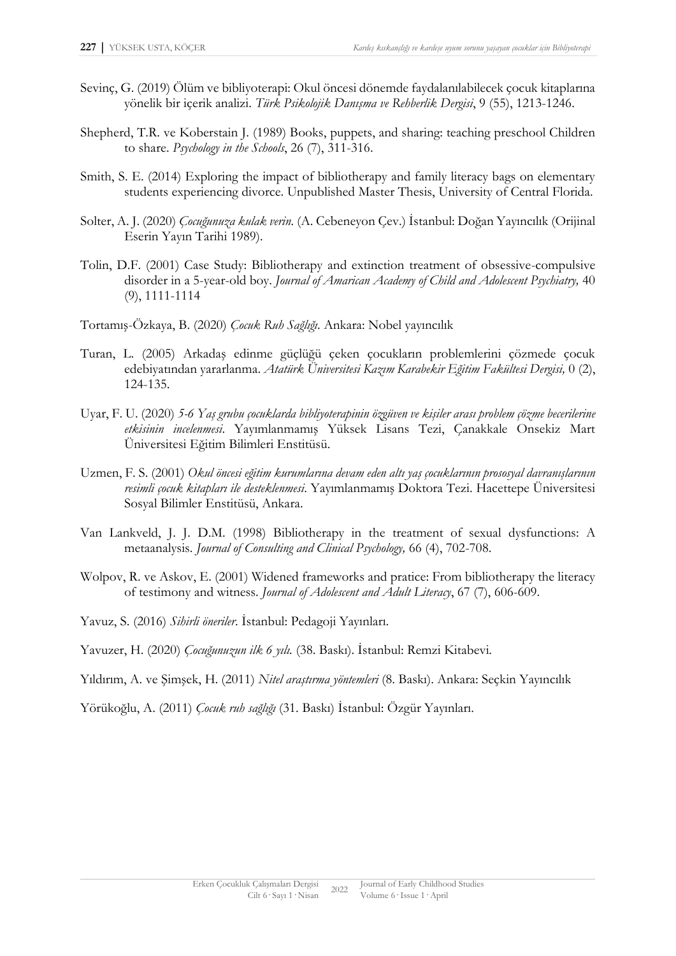- Sevinç, G. (2019) Ölüm ve bibliyoterapi: Okul öncesi dönemde faydalanılabilecek çocuk kitaplarına yönelik bir içerik analizi. *Türk Psikolojik Danışma ve Rehberlik Dergisi*, 9 (55), 1213-1246.
- Shepherd, T.R. ve Koberstain J. (1989) Books, puppets, and sharing: teaching preschool Children to share. *Psychology in the Schools*, 26 (7), 311-316.
- Smith, S. E. (2014) Exploring the impact of bibliotherapy and family literacy bags on elementary students experiencing divorce. Unpublished Master Thesis, University of Central Florida.
- Solter, A. J. (2020) *Çocuğunuza kulak verin.* (A. Cebeneyon Çev.) İstanbul: Doğan Yayıncılık (Orijinal Eserin Yayın Tarihi 1989).
- Tolin, D.F. (2001) Case Study: Bibliotherapy and extinction treatment of obsessive-compulsive disorder in a 5-year-old boy. *Journal of Amarican Academy of Child and Adolescent Psychiatry,* 40 (9), 1111-1114
- Tortamış-Özkaya, B. (2020) *Çocuk Ruh Sağlığı*. Ankara: Nobel yayıncılık
- Turan, L. (2005) Arkadaş edinme güçlüğü çeken çocukların problemlerini çözmede çocuk edebiyatından yararlanma. *Atatürk Üniversitesi Kazım Karabekir Eğitim Fakültesi Dergisi,* 0 (2), 124-135.
- Uyar, F. U. (2020) *5-6 Yaş grubu çocuklarda bibliyoterapinin özgüven ve kişiler arası problem çözme becerilerine etkisinin incelenmesi*. Yayımlanmamış Yüksek Lisans Tezi, Çanakkale Onsekiz Mart Üniversitesi Eğitim Bilimleri Enstitüsü.
- Uzmen, F. S. (2001) *Okul öncesi eğitim kurumlarına devam eden altı yaş çocuklarının prososyal davranışlarının resimli çocuk kitapları ile desteklenmesi*. Yayımlanmamış Doktora Tezi. Hacettepe Üniversitesi Sosyal Bilimler Enstitüsü, Ankara.
- Van Lankveld, J. J. D.M. (1998) Bibliotherapy in the treatment of sexual dysfunctions: A metaanalysis. *Journal of Consulting and Clinical Psychology,* 66 (4), 702-708.
- Wolpov, R. ve Askov, E. (2001) Widened frameworks and pratice: From bibliotherapy the literacy of testimony and witness. *Journal of Adolescent and Adult Literacy*, 67 (7), 606-609.
- Yavuz, S. (2016) *Sihirli öneriler*. İstanbul: Pedagoji Yayınları.
- Yavuzer, H. (2020) *Çocuğunuzun ilk 6 yılı.* (38. Baskı). İstanbul: Remzi Kitabevi.
- Yıldırım, A. ve Şimşek, H. (2011) *Nitel araştırma yöntemleri* (8. Baskı). Ankara: Seçkin Yayıncılık

Yörükoğlu, A. (2011) *Çocuk ruh sağlığı* (31. Baskı) İstanbul: Özgür Yayınları.